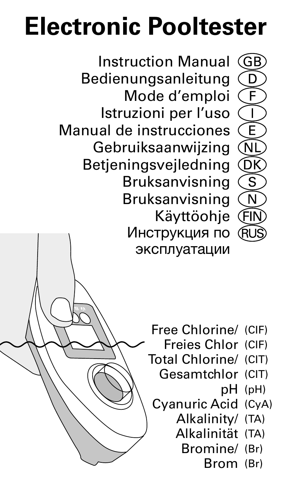# **Electronic Pooltester**

Instruction Manual Bedienungsanleitung Mode d'emploi Istruzioni per l'uso Manual de instrucciones Gebruiksaanwijzing Betjeningsvejledning Bruksanvisning Bruksanvisning Käyttöohje Инструкция по эксплуатации



- Free Chlorine/ (CIF)
	- Freies Chlor (CIF)

G<sub>R</sub>

 $\widehat{\mathsf{N}\mathsf{I}}$ **COK** 

กิ

- Total Chlorine/ (CIT)
	- Gesamtchlor (CIT) pH (pH)
	- Cyanuric Acid (CyA) Alkalinity/ (TA)
		- Alkalinität (TA)
			- Bromine/ (Br)

Brom (Br)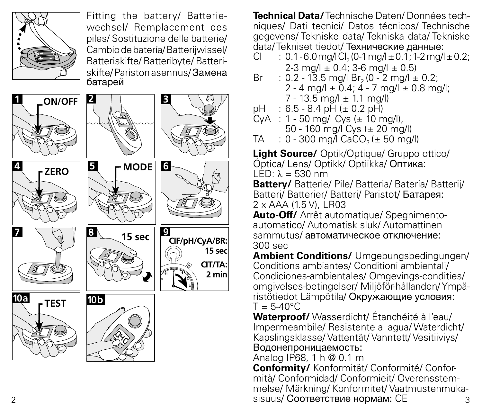

Fitting the battery/ Batteriewechsel/ Remplacement des piles/ Sostituzione delle batterie/ Cambio de batería/ Batterijwissel/ Batteriskifte/ Batteribyte/ Batteriskifte/ Pariston asennus/ Замена батарей



**Technical Data/** Technische Daten/ Données techniques/ Dati tecnici/ Datos técnicos/ Technische gegevens/ Tekniske data/ Tekniska data/ Tekniske data/ Tekniset tiedot/ Технические данные:

- $Cl$  : 0.1 6.0 mg/l  $Cl_2$  (0-1 mg/l  $\pm$  0.1; 1-2 mg/l  $\pm$  0.2;  $2-3$  mg/l  $\pm 0.4$ ;  $3-6$  mg/l  $\pm 0.5$ )<br>Br  $\pm 0.2 - 13.5$  mg/l Br  $(0 - 2$  mg/l  $+$
- $B = 0.2 13.5$  mg/l Br<sub>2</sub> (0 2 mg/l  $\pm$  0.2;
	- $2 4$  mg/l +  $0.4$ ;  $4 7$  mg/l + 0.8 mg/l;
- $7 13.5$  mg/l  $\pm$  1.1 mg/l)<br>nH  $\pm$  6.5 8.4 nH (+ 0.2 nH)  $\cdot$  6.5 - 8.4 pH (+ 0.2 pH)
- $CyA : 1 50$  mg/l  $Cys (= 10$  mg/l),  $50 - 160$  mg/l Cys (± 20 mg/l)<br>TA  $\cdot$  0 - 300 mg/l CaCO, (+ 50 mg/
- $: 0 300$  mg/l  $CaCO<sub>3</sub>(+ 50$  mg/l)

**Light Source/** Optik/Optique/ Gruppo ottico/ Óptica/ Lens/ Optikk/ Optiikka/ Оптика:  $LFD: \lambda = 530$  nm

**Battery/** Batterie/ Pile/ Batteria/ Batería/ Batterij/ Batteri/ Batterier/ Batteri/ Paristot/ Батарея: 2 x AAA (1.5 V), LR03

**Auto-Off/** Arrêt automatique/ Spegnimentoautomatico/ Automatisk sluk/ Automattinen sammutus/ автоматическое отключение: 300 sec

**Ambient Conditions/** Umgebungsbedingungen/ Conditions ambiantes/ Conditioni ambientali/ Condiciones-ambientales/ Omgevings-condities/ omgivelses-betingelser/ Miljöför-hållanden/ Ympäristötiedot Lämpötila/ Окружающие условия:  $T = 5-40^{\circ}$ C

**Waterproof/** Wasserdicht/ Étanchéité à l'eau/ Impermeambile/ Resistente al agua/ Waterdicht/ Kapslingsklasse/ Vattentät/ Vanntett/ Vesitiiviys/ Водонепроницаемость:

Analog IP68, 1 h @ 0.1 m

2 3 sisuus/ Соответствие нормам: CE **Conformity/** Konformität/ Conformité/ Conformità/ Conformidad/ Conformieit/ Overensstemmelse/ Märkning/ Konformitet/ Vaatmustenmuka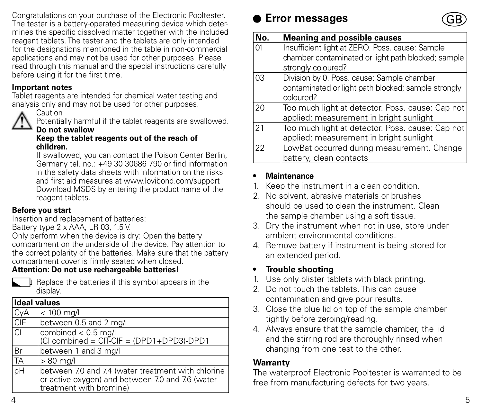Congratulations on your purchase of the Electronic Pooltester. The tester is a battery-operated measuring device which determines the specific dissolved matter together with the included reagent tablets. The tester and the tablets are only intended for the designations mentioned in the table in non-commercial applications and may not be used for other purposes. Please read through this manual and the special instructions carefully before using it for the first time.

### **Important notes**

Tablet reagents are intended for chemical water testing and analysis only and may not be used for other purposes.



Caution

Potentially harmful if the tablet reagents are swallowed. **Do not swallow**

#### **Keep the tablet reagents out of the reach of children.**

If swallowed, you can contact the Poison Center Berlin, Germany tel. no.: +49 30 30686 790 or find information in the safety data sheets with information on the risks and first aid measures at www.lovibond.com/support Download MSDS by entering the product name of the reagent tablets.

### **Before you start**

Insertion and replacement of batteries:

Battery type 2 x AAA, LR 03, 1.5 V.

Only perform when the device is dry: Open the battery compartment on the underside of the device. Pay attention to the correct polarity of the batteries. Make sure that the battery compartment cover is firmly seated when closed.

### **Attention: Do not use rechargeable batteries!**

**I** Replace the batteries if this symbol appears in the display.

| <b>Ideal values</b> |                                                                                                                                   |
|---------------------|-----------------------------------------------------------------------------------------------------------------------------------|
| CyA                 | $< 100$ mg/l                                                                                                                      |
| CIF                 | between 0.5 and 2 mg/l                                                                                                            |
| CI.                 | combined < 0.5 mg/l<br>(CI combined = $CITCIF = (DPD1+DPD3)-DPD1$                                                                 |
| .<br>Br             | between 1 and 3 mg/l                                                                                                              |
| TA                  | $>80$ mg/l                                                                                                                        |
| pH                  | between 7.0 and 7.4 (water treatment with chlorine<br>or active oxygen) and between 7.0 and 7.6 (water<br>treatment with bromine) |

### **Error messages**



| No. | <b>Meaning and possible causes</b>                  |
|-----|-----------------------------------------------------|
| 01  | Insufficient light at ZERO. Poss. cause: Sample     |
|     | chamber contaminated or light path blocked; sample  |
|     | strongly coloured?                                  |
| 03  | Division by 0. Poss. cause: Sample chamber          |
|     | contaminated or light path blocked; sample strongly |
|     | coloured?                                           |
| 20  | Too much light at detector. Poss. cause: Cap not    |
|     | applied; measurement in bright sunlight             |
| 21  | Too much light at detector. Poss. cause: Cap not    |
|     | applied; measurement in bright sunlight             |
| 22  | LowBat occurred during measurement. Change          |
|     | battery, clean contacts                             |

### **• Maintenance**

- 1. Keep the instrument in a clean condition.
- 2. No solvent, abrasive materials or brushes should be used to clean the instrument. Clean the sample chamber using a soft tissue.
- 3. Dry the instrument when not in use, store under ambient environmental conditions.
- 4. Remove battery if instrument is being stored for an extended period.

### **• Trouble shooting**

- 1. Use only blister tablets with black printing.
- 2. Do not touch the tablets. This can cause contamination and give pour results.
- 3. Close the blue lid on top of the sample chamber tightly before zeroing/reading.
- 4. Always ensure that the sample chamber, the lid and the stirring rod are thoroughly rinsed when changing from one test to the other.

### **Warranty**

The waterproof Electronic Pooltester is warranted to be free from manufacturing defects for two years.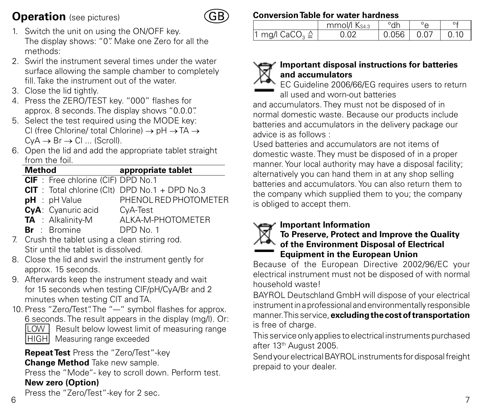### **Operation** (see pictures)



- 1. Switch the unit on using the ON/OFF key. The display shows: "0". Make one Zero for all the methods:
- 2. Swirl the instrument several times under the water surface allowing the sample chamber to completely fill. Take the instrument out of the water.
- 3. Close the lid tightly.
- 4. Press the ZERO/TEST key. "000" flashes for approx. 8 seconds. The display shows "0.0.0".
- 5. Select the test required using the MODE key: Cl (free Chlorine/ total Chlorine) → pH → TA →  $CvA \rightarrow Br \rightarrow Cl \dots$  (Scroll).
- 6. Open the lid and add the appropriate tablet straight from the foil

| Method |                                           | appropriate tablet                               |
|--------|-------------------------------------------|--------------------------------------------------|
|        | <b>CIF</b> : Free chlorine (CIF) DPD No.1 |                                                  |
|        |                                           | $CIT$ : Total chlorine (Clt) DPD No.1 + DPD No.3 |
|        | $pH : pH$ Value                           | PHENOL RED PHOTOMETER                            |
|        | CyA: Cyanuric acid                        | CyA-Test                                         |
|        | <b>TA</b> : Alkalinity-M                  | ALKA-M-PHOTOMETER                                |
|        | <b>Br</b> : Bromine                       | DPD No. 1                                        |
|        |                                           | $\sim$ $\sim$ $\sim$ $\sim$ $\sim$ $\sim$        |

- 7. Crush the tablet using a clean stirring rod. Stir until the tablet is dissolved.
- 8. Close the lid and swirl the instrument gently for approx. 15 seconds.
- 9. Afterwards keep the instrument steady and wait for 15 seconds when testing ClF/pH/CyA/Br and 2 minutes when testing ClT and TA.
- 10. Press "Zero/Test". The "--" symbol flashes for approx. 6 seconds. The result appears in the display (mg/l). Or: **LOW** Result below lowest limit of measuring range HIGH Measuring range exceeded

**Repeat Test** Press the "Zero/Test"-key

**Change Method** Take new sample.

Press the "Mode"- key to scroll down. Perform test. **New zero (Option)**

**Conversion Table for water hardness**

|                           | mmol/l Ks43 | °dh          |      |
|---------------------------|-------------|--------------|------|
| 1 mg/l $CaCO3 \triangleq$ | 0.02        | $0.056$ 0.07 | 0.10 |

### **Important disposal instructions for batteries and accumulators**

EC Guideline 2006/66/EG requires users to return all used and worn-out batteries

and accumulators. They must not be disposed of in normal domestic waste. Because our products include batteries and accumulators in the delivery package our advice is as follows :

Used batteries and accumulators are not items of domestic waste. They must be disposed of in a proper manner. Your local authority may have a disposal facility; alternatively you can hand them in at any shop selling batteries and accumulators. You can also return them to the company which supplied them to you; the company is obliged to accept them.

### **Important Information**



### **To Preserve, Protect and Improve the Quality of the Environment Disposal of Electrical Equipment in the European Union**

Because of the European Directive 2002/96/EC your electrical instrument must not be disposed of with normal household waste!

BAYROL Deutschland GmbH will dispose of your electrical instrument in a professional and environmentally responsible manner. This service, **excluding the cost of transportation** is free of charge.

This service only applies to electrical instruments purchased after 13th August 2005.

Send your electrical BAYROL instruments for disposal freight prepaid to your dealer.

6  $\overline{\phantom{a}}$  7 Press the "Zero/Test"-key for 2 sec.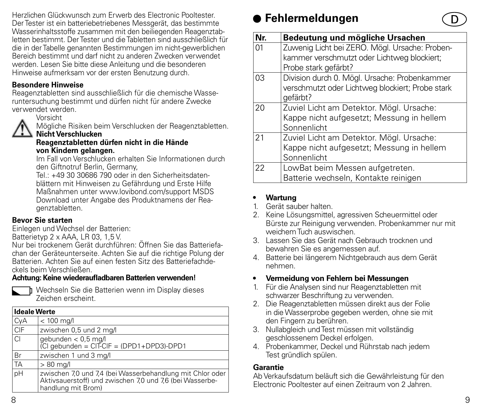Herzlichen Glückwunsch zum Erwerb des Electronic Pooltester. Der Tester ist ein batteriebetriebenes Messgerät, das bestimmte Wasserinhaltsstoffe zusammen mit den beiliegenden Reagenztabletten bestimmt. Der Tester und die Tabletten sind ausschließlich für die in der Tabelle genannten Bestimmungen im nicht-gewerblichen Bereich bestimmt und darf nicht zu anderen Zwecken verwendet werden. Lesen Sie bitte diese Anleitung und die besonderen Hinweise aufmerksam vor der ersten Benutzung durch.

### **Besondere Hinweise**

Reagenztabletten sind ausschließlich für die chemische Wasseruntersuchung bestimmt und dürfen nicht für andere Zwecke verwendet werden.

Vorsicht

Mögliche Risiken beim Verschlucken der Reagenztabletten. **Nicht Verschlucken**

#### **Reagenztabletten dürfen nicht in die Hände von Kindern gelangen.**

Im Fall von Verschlucken erhalten Sie Informationen durch den Giftnotruf Berlin, Germany,

Tel.: +49 30 30686 790 oder in den Sicherheitsdatenblättern mit Hinweisen zu Gefährdung und Erste Hilfe Maßnahmen unter www.lovibond.com/support MSDS Download unter Angabe des Produktnamens der Reagenztabletten.

### **Bevor Sie starten**

Einlegen und Wechsel der Batterien:

Batterietyp 2 x AAA, LR 03, 1,5 V.

Nur bei trockenem Gerät durchführen: Öffnen Sie das Batteriefachan der Geräteunterseite. Achten Sie auf die richtige Polung der Batterien. Achten Sie auf einen festen Sitz des Batteriefachdeckels beim Verschließen.

### **Achtung: Keine wiederaufladbaren Batterien verwenden!**



Wechseln Sie die Batterien wenn im Display dieses Zeichen erscheint.

| <b>Ideale Werte</b> |                                                                                                                                             |
|---------------------|---------------------------------------------------------------------------------------------------------------------------------------------|
| CyA                 | $< 100$ mg/l                                                                                                                                |
| CIF                 | zwischen 0,5 und 2 mg/l                                                                                                                     |
| lcı                 | gebunden < 0,5 mg/l<br>(Cl gebunden = CIT-CIF = (DPD1+DPD3)-DPD1                                                                            |
| Br                  | zwischen 1 und 3 mg/l                                                                                                                       |
| TA                  | $>80$ ma/                                                                                                                                   |
| pH                  | zwischen 7,0 und 7,4 (bei Wasserbehandlung mit Chlor oder<br>Aktivsauerstoff) und zwischen 7.0 und 7.6 (bei Wasserbe-<br>handlung mit Brom) |

### **Fehlermeldungen**

| Nr. | Bedeutung und mögliche Ursachen                  |
|-----|--------------------------------------------------|
| 01  | Zuwenig Licht bei ZERO. Mögl. Ursache: Proben-   |
|     | kammer verschmutzt oder Lichtweg blockiert;      |
|     | Probe stark gefärbt?                             |
| 03  | Division durch 0. Mögl. Ursache: Probenkammer    |
|     | verschmutzt oder Lichtweg blockiert; Probe stark |
|     | aefärbt?                                         |
| 20  | Zuviel Licht am Detektor. Mögl. Ursache:         |
|     | Kappe nicht aufgesetzt; Messung in hellem        |
|     | Sonnenlicht                                      |
| 21  | Zuviel Licht am Detektor. Mögl. Ursache:         |
|     | Kappe nicht aufgesetzt; Messung in hellem        |
|     | Sonnenlicht                                      |
| 22  | LowBat beim Messen aufgetreten.                  |
|     | Batterie wechseln, Kontakte reinigen             |

### **• Wartung**

- 1. Gerät sauber halten.
- 2. Keine Lösungsmittel, agressiven Scheuermittel oder Bürste zur Reinigung verwenden. Probenkammer nur mit weichem Tuch auswischen.
- 3. Lassen Sie das Gerät nach Gebrauch trocknen und bewahren Sie es angemessen auf.
- 4. Batterie bei längerem Nichtgebrauch aus dem Gerät nehmen.
- **• Vermeidung von Fehlern bei Messungen**
- 1. Für die Analysen sind nur Reagenztabletten mit schwarzer Beschriftung zu verwenden.
- 2. Die Reagenztabletten müssen direkt aus der Folie in die Wasserprobe gegeben werden, ohne sie mit den Fingern zu berühren.
- 3. Nullabgleich und Test müssen mit vollständig geschlossenem Deckel erfolgen.
- 4. Probenkammer, Deckel und Rührstab nach jedem Test gründlich spülen.

### **Garantie**

Ab Verkaufsdatum beläuft sich die Gewährleistung für den Electronic Pooltester auf einen Zeitraum von 2 Jahren.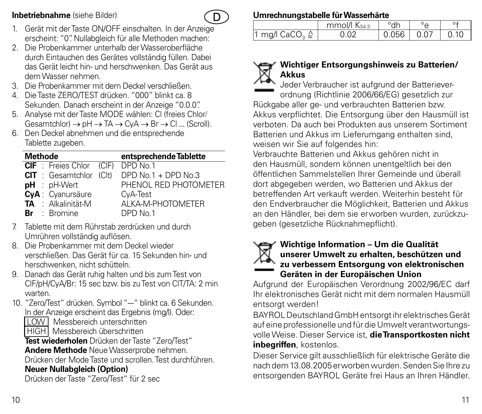### **Inbetriebnahme** (siehe Bilder)



- 1. Gerät mit der Taste ON/OFF einschalten. In der Anzeige erscheint: "0". Nullabgleich für alle Methoden machen:
- 2. Die Probenkammer unterhalb der Wasseroberfläche durch Eintauchen des Gerätes vollständig füllen. Dabei das Gerät leicht hin- und herschwenken. Das Gerät aus dem Wasser nehmen.
- 3. Die Probenkammer mit dem Deckel verschließen.
- 4. Die Taste ZERO/TEST drücken. "000" blinkt ca. 8 Sekunden. Danach erscheint in der Anzeige "0.0.0".
- 5. Analyse mit der Taste MODE wählen: Cl (freies Chlor/  $G$ esamtchlor)  $\rightarrow$  pH  $\rightarrow$  TA  $\rightarrow$  CyA  $\rightarrow$  Br  $\rightarrow$  Cl ... (Scroll).
- 6. Den Deckel abnehmen und die entsprechende Tablette zugeben.

| <b>Methode</b> |                                 | entsprechende Tablette |
|----------------|---------------------------------|------------------------|
|                | <b>CIF</b> : Freies Chlor (CIF) | DPD No.1               |
|                | <b>CIT</b> : Gesamtchlor (Clt)  | DPD $No.1 + DPD No.3$  |
|                | pH : pH-Wert                    | PHENOL RED PHOTOMETER  |
|                | CyA: Cyanursäure                | CyA-Test               |
|                | TA : Alkalinität-M              | AI KA-M-PHOTOMETER     |
|                | <b>Br</b> : Bromine             | DPD No.1               |

- 7. Tablette mit dem Rührstab zerdrücken und durch Umrühren vollständig auflösen.
- 8. Die Probenkammer mit dem Deckel wieder verschließen. Das Gerät für ca. 15 Sekunden hin- und herschwenken, nicht schütteln.
- 9. Danach das Gerät ruhig halten und bis zum Test von ClF/pH/CyA/Br: 15 sec bzw. bis zu Test von ClT/TA: 2 min warten.
- 10. "Zero/Test" drücken. Symbol "--" blinkt ca. 6 Sekunden. In der Anzeige erscheint das Ergebnis (mg/l). Oder:
	- LOW Messbereich unterschritten
	- HIGH Messbereich überschritten

**Test wiederholen** Drücken der Taste "Zero/Test"

**Andere Methode** Neue Wasserprobe nehmen.

Drücken der Mode Taste und scrollen. Test durchführen.

### **Neuer Nullabgleich (Option)**

Drücken der Taste "Zero/Test" für 2 sec

### **Umrechnungstabelle für Wasserhärte**

|                           | mmol/l Ks43 | °dh          |      |
|---------------------------|-------------|--------------|------|
| 1 mg/l $CaCO3 \triangleq$ | 0.02        | $0.056$ 0.07 | 0.10 |

### **Wichtiger Entsorgungshinweis zu Batterien/ Akkus**

Jeder Verbraucher ist aufgrund der Batterieverordnung (Richtlinie 2006/66/EG) gesetzlich zur Rückgabe aller ge- und verbrauchten Batterien bzw. Akkus verpflichtet. Die Entsorgung über den Hausmüll ist verboten. Da auch bei Produkten aus unserem Sortiment Batterien und Akkus im Lieferumgang enthalten sind, weisen wir Sie auf folgendes hin:

Verbrauchte Batterien und Akkus gehören nicht in den Hausmüll, sondern können unentgeltlich bei den öffentlichen Sammelstellen Ihrer Gemeinde und überall dort abgegeben werden, wo Batterien und Akkus der betreffenden Art verkauft werden. Weiterhin besteht für den Endverbraucher die Möglichkeit, Batterien und Akkus an den Händler, bei dem sie erworben wurden, zurückzugeben (gesetzliche Rücknahmepflicht).



### **Wichtige Information – Um die Qualität unserer Umwelt zu erhalten, beschützen und zu verbessern Entsorgung von elektronischen Geräten in der Europäischen Union**

Aufgrund der Europäischen Verordnung 2002/96/EC darf Ihr elektronisches Gerät nicht mit dem normalen Hausmüll entsorgt werden!

BAYROL Deutschland GmbH entsorgt ihr elektrisches Gerät auf eine professionelle und für die Umwelt verantwortungsvolle Weise. Dieser Service ist, **die Transportkosten nicht inbegriffen**, kostenlos.

Dieser Service gilt ausschließlich für elektrische Geräte die nach dem 13.08.2005 erworben wurden. Senden Sie Ihre zu entsorgenden BAYROL Geräte frei Haus an Ihren Händler.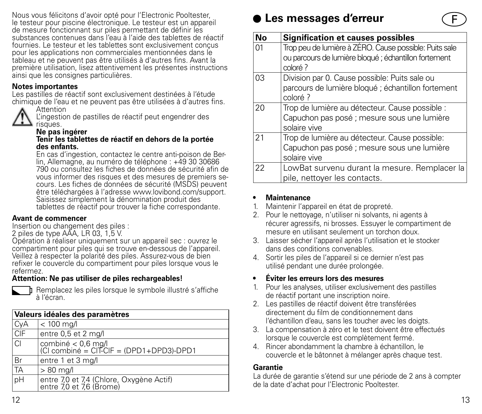Nous vous félicitons d'avoir opté pour l'Electronic Pooltester, le testeur pour piscine électronique. Le testeur est un appareil de mesure fonctionnant sur piles permettant de définir les substances contenues dans l'eau à l'aide des tablettes de réactif fournies. Le testeur et les tablettes sont exclusivement conçus pour les applications non commerciales mentionnées dans le tableau et ne peuvent pas être utilisés à d'autres fins. Avant la première utilisation, lisez attentivement les présentes instructions ainsi que les consignes particulières.

#### **Notes importantes**

Les pastilles de réactif sont exclusivement destinées à l'étude chimique de l'eau et ne peuvent pas être utilisées à d'autres fins.



L'ingestion de pastilles de réactif peut engendrer des risques.

### **Ne pas ingérer**

#### **Tenir les tablettes de réactif en dehors de la portée des enfants.**

En cas d'ingestion, contactez le centre anti-poison de Ber lin, Allemagne, au numéro de téléphone : +49 30 30686 790 ou consultez les fiches de données de sécurité afin de vous informer des risques et des mesures de premiers se cours. Les fiches de données de sécurité (MSDS) peuvent être téléchargées à l'adresse www.lovibond.com/support. Saisissez simplement la dénomination produit des tablettes de réactif pour trouver la fiche correspondante.

#### **Avant de commencer**

Insertion ou changement des piles :

2 piles de type AAA, LR 03, 1,5 V.

Opération à réaliser uniquement sur un appareil sec : ouvrez le compartiment pour piles qui se trouve en-dessous de l'appareil. Veillez à respecter la polarité des piles. Assurez-vous de bien refixer le couvercle du compartiment pour piles lorsque vous le refermez.

### **Attention: Ne pas utiliser de piles rechargeables!**



Remplacez les piles lorsque le symbole illustré s'affiche à l'écran.

|                | Valeurs idéales des paramètres                                       |
|----------------|----------------------------------------------------------------------|
| CyA<br>CIF     | $< 100$ mg/l                                                         |
|                | entre 0,5 et 2 mg/l                                                  |
| lcı            | combiné < 0,6 mg/l<br> Cl combiné = CIT-CIF = (DPD1+DPD3)-DPD1       |
| Br             | entre 1 et 3 mg/l                                                    |
| TA             | $> 80$ mg/l                                                          |
| $\overline{p}$ | entre 7,0 et 7,4 (Chlore, Oxygène Actif)<br>entre 7,0 et 7,6 (Brome) |

### **Les messages d'erreur**

| No | <b>Signification et causes possibles</b>               |
|----|--------------------------------------------------------|
| 01 | Trop peu de lumière à ZÉRO. Cause possible: Puits sale |
|    | ou parcours de lumière bloqué ; échantillon fortement  |
|    | coloré?                                                |
| 03 | Division par 0. Cause possible: Puits sale ou          |
|    | parcours de lumière bloqué ; échantillon fortement     |
|    | coloré ?                                               |
| 20 | Trop de lumière au détecteur. Cause possible :         |
|    | Capuchon pas posé ; mesure sous une lumière            |
|    | solaire vive                                           |
| 21 | Trop de lumière au détecteur. Cause possible:          |
|    | Capuchon pas posé ; mesure sous une lumière            |
|    | solaire vive                                           |
| 22 | LowBat survenu durant la mesure. Remplacer la          |
|    | pile, nettoyer les contacts.                           |

#### **• Maintenance**

- 1. Maintenir l'appareil en état de propreté.
- 2. Pour le nettoyage, n'utiliser ni solvants, ni agents à récurer agressifs, ni brosses. Essuyer le compartiment de mesure en utilisant seulement un torchon doux.
- 3. Laisser sécher l'appareil après l'utilisation et le stocker dans des conditions convenables.
- 4. Sortir les piles de l'appareil si ce dernier n'est pas utilisé pendant une durée prolongée.

### **• Éviter les erreurs lors des mesures**

- 1. Pour les analyses, utiliser exclusivement des pastilles de réactif portant une inscription noire.
- 2. Les pastilles de réactif doivent être transférées directement du film de conditionnement dans l'échantillon d'eau, sans les toucher avec les doigts.
- 3. La compensation à zéro et le test doivent être effectués lorsque le couvercle est complètement fermé.
- 4. Rincer abondamment la chambre à échantillon, le couvercle et le bâtonnet à mélanger après chaque test.

### **Garantie**

La durée de garantie s'étend sur une période de 2 ans à compter de la date d'achat pour l'Electronic Pooltester.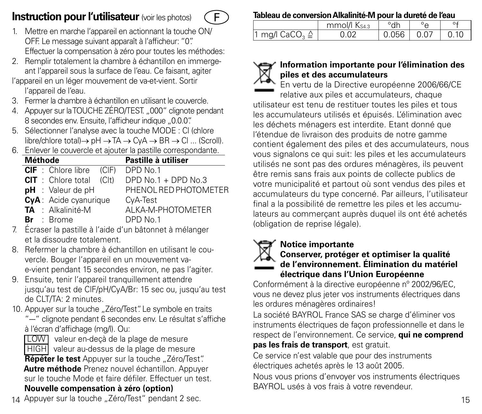### **Instruction pour l'utilisateur** (voir les photos)



- 1. Mettre en marche l'appareil en actionnant la touche ON/ OFF. Le message suivant apparaît à l'afficheur: "0". Effectuer la compensation à zéro pour toutes les méthodes:
- 2. Remplir totalement la chambre à échantillon en immergeant l'appareil sous la surface de l'eau. Ce faisant, agiter l'appareil en un léger mouvement de va-et-vient. Sortir
- l'appareil de l'eau.
- 3. Fermer la chambre à échantillon en utilisant le couvercle.
- 4. Appuyer sur la TOUCHE ZÉRO/TEST...000" clignote pendant 8 secondes env. Ensuite, l'afficheur indique ..0.0.0".
- 5. Sélectionner l'analyse avec la touche MODE : Cl (chlore  $line/$ chlore total) $\rightarrow$  pH  $\rightarrow$  TA  $\rightarrow$  CvA  $\rightarrow$  BR  $\rightarrow$  Cl ... (Scroll).
- 6. Enlever le couvercle et ajouter la pastille correspondante.

| Méthode |                              |       | Pastille à utiliser   |
|---------|------------------------------|-------|-----------------------|
|         | <b>CIF</b> : Chlore libre    | (CIF) | DPD No.1              |
|         | $CIT$ : Chlore total $(CIt)$ |       | DPD No.1 + DPD No.3   |
|         | $pH$ : Valeur de $pH$        |       | PHENOL RED PHOTOMETER |
|         | CyA: Acide cyanurique        |       | CyA-Test              |
|         | TA : Alkalinité-M            |       | ALKA-M-PHOTOMETER     |
|         | $Br \tBrm$                   |       | DPD No.1              |

- Écraser la pastille à l'aide d'un bâtonnet à mélanger et la dissoudre totalement.
- 8. Refermer la chambre à échantillon en utilisant le couvercle. Bouger l'appareil en un mouvement vae-vient pendant 15 secondes environ, ne pas l'agiter.
- 9. Ensuite, tenir l'appareil tranquillement attendre jusqu'au test de ClF/pH/CyA/Br: 15 sec ou, jusqu'au test de CLT/TA: 2 minutes.
- 10. Appuyer sur la touche ..Zéro/Test". Le symbole en traits "-" clignote pendant 6 secondes env. Le résultat s'affiche à l'écran d'affichage (mg/l). Ou:

LOW valeur en-decà de la plage de mesure HIGH valeur au-dessus de la plage de mesure Répéter le test Appuyer sur la touche "Zéro/Test".  **Autre méthode** Prenez nouvel échantillon. Appuyer sur le touche Mode et faire défiler. Effectuer un test.  **Nouvelle compensation à zéro (option)**

 $\frac{1}{1}$  mg/l CaCO<sub>2</sub>  $\triangle$ 



### **Information importante pour l'élimination des piles et des accumulateurs**

 $\frac{m \text{mol}}{0.02}$   $\frac{m \text{mol}}{0.056}$   $\frac{m \text{mol}}{0.07}$   $\frac{m \text{mol}}{0.10}$ 

**Tableau de conversion Alkalinité-M pour la dureté de l'eau**

En vertu de la Directive européenne 2006/66/CE relative aux piles et accumulateurs, chaque utilisateur est tenu de restituer toutes les piles et tous les accumulateurs utilisés et épuisés. L'élimination avec les déchets ménagers est interdite. Etant donné que l'étendue de livraison des produits de notre gamme contient également des piles et des accumulateurs, nous vous signalons ce qui suit: les piles et les accumulateurs utilisés ne sont pas des ordures ménagères, ils peuvent être remis sans frais aux points de collecte publics de votre municipalité et partout où sont vendus des piles et accumulateurs du type concerné. Par ailleurs, l'utilisateur final a la possibilité de remettre les piles et les accumulateurs au commerçant auprès duquel ils ont été achetés (obligation de reprise légale).



### **Notice importante**

### **Conserver, protéger et optimiser la qualité de l'environnement. Élimination du matériel électrique dans l'Union Européenne**

Conformément à la directive européenne nº 2002/96/EC, vous ne devez plus jeter vos instruments électriques dans les ordures ménagères ordinaires!

La société BAYROL France SAS se charge d'éliminer vos instruments électriques de façon professionnelle et dans le respect de l'environnement. Ce service, **qui ne comprend** 

### **pas les frais de transport**, est gratuit.

Ce service n'est valable que pour des instruments électriques achetés après le 13 août 2005.

Nous vous prions d'envoyer vos instruments électriques BAYROL usés à vos frais à votre revendeur.

14 15 Appuyer sur la touche "Zéro/Test" pendant 2 sec.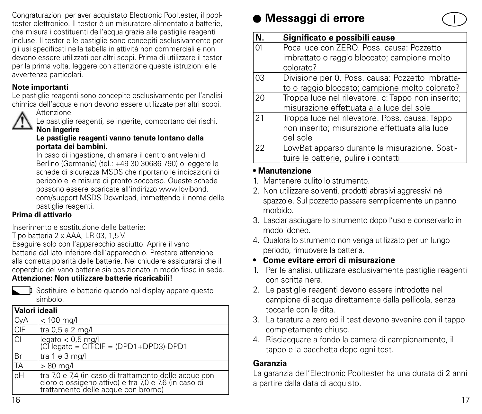Congraturazioni per aver acquistato Electronic Pooltester, il pooltester elettronico. Il tester è un misuratore alimentato a batterie, che misura i costituenti dell'acqua grazie alle pastiglie reagenti incluse. Il tester e le pastiglie sono concepiti esclusivamente per gli usi specificati nella tabella in attività non commerciali e non devono essere utilizzati per altri scopi. Prima di utilizzare il tester per la prima volta, leggere con attenzione queste istruzioni e le avvertenze particolari.

### **Note importanti**

Le pastiglie reagenti sono concepite esclusivamente per l'analisi chimica dell'acqua e non devono essere utilizzate per altri scopi.



**Attenzione** 

Le pastiglie reagenti, se ingerite, comportano dei rischi. **Non ingerire**

#### **Le pastiglie reagenti vanno tenute lontano dalla portata dei bambini.**

In caso di ingestione, chiamare il centro antiveleni di Berlino (Germania) (tel.: +49 30 30686 790) o leggere le schede di sicurezza MSDS che riportano le indicazioni di pericolo e le misure di pronto soccorso. Queste schede possono essere scaricate all'indirizzo www.lovibond. com/support MSDS Download, immettendo il nome delle pastiglie reagenti.

### **Prima di attivarlo**

Inserimento e sostituzione delle batterie:

Tipo batteria 2 x AAA, LR 03, 1,5 V.

Eseguire solo con l'apparecchio asciutto: Aprire il vano batterie dal lato inferiore dell'apparecchio. Prestare attenzione alla corretta polarità delle batterie. Nel chiudere assicurarsi che il coperchio del vano batterie sia posizionato in modo fisso in sede. **Attenzione: Non utilizzare batterie ricaricabili!**



**I** Sostituire le batterie quando nel display appare questo simbolo.

|                | Valori ideali                                                                                                                                    |  |  |  |
|----------------|--------------------------------------------------------------------------------------------------------------------------------------------------|--|--|--|
| CyA            | $< 100$ mg/l                                                                                                                                     |  |  |  |
| <b>CIF</b>     | tra 0,5 e 2 mg/l                                                                                                                                 |  |  |  |
| $\overline{C}$ | legato < 0,5 mg/l<br>(Cl legato = ClT-ClF = (DPD1+DPD3)-DPD1                                                                                     |  |  |  |
| Br             | tra 1 e 3 mg/l                                                                                                                                   |  |  |  |
| TA             | $>80$ mg/l                                                                                                                                       |  |  |  |
| pH             | tra 7,0 e 7,4 (in caso di trattamento delle acque con cloro o ossigeno attivo) e tra 7,0 e 7,6 (in caso di<br>trattamento delle acque con bromo) |  |  |  |

### **Messaggi di errore**



### **• Manutenzione**

- 1. Mantenere pulito lo strumento.
- 2. Non utilizzare solventi, prodotti abrasivi aggressivi né spazzole. Sul pozzetto passare semplicemente un panno morbido.
- 3. Lasciar asciugare lo strumento dopo l'uso e conservarlo in modo idoneo.
- 4. Qualora lo strumento non venga utilizzato per un lungo periodo, rimuovere la batteria.
- **• Come evitare errori di misurazione**
- 1. Per le analisi, utilizzare esclusivamente pastiglie reagenti con scritta nera.
- 2. Le pastiglie reagenti devono essere introdotte nel campione di acqua direttamente dalla pellicola, senza toccarle con le dita.
- 3. La taratura a zero ed il test devono avvenire con il tappo completamente chiuso.
- 4. Risciacquare a fondo la camera di campionamento, il tappo e la bacchetta dopo ogni test.

### **Garanzia**

La garanzia dell'Electronic Pooltester ha una durata di 2 anni a partire dalla data di acquisto.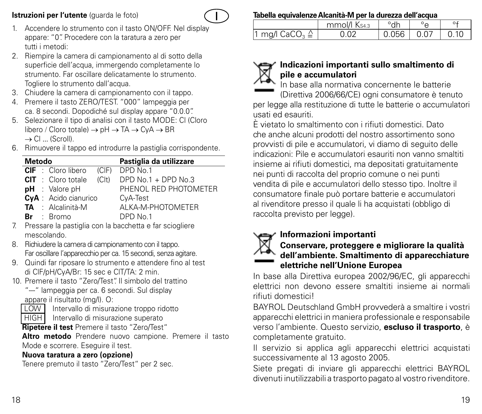### **Istruzioni per l'utente** (quarda le foto)



- 1. Accendere lo strumento con il tasto ON/OFF. Nel display appare: "0". Procedere con la taratura a zero per tutti i metodi:
- 2. Riempire la camera di campionamento al di sotto della superficie dell'acqua, immergendo completamente lo strumento. Far oscillare delicatamente lo strumento. Togliere lo strumento dall'acqua.
- 3. Chiudere la camera di campionamento con il tappo.
- 4. Premere il tasto ZERO/TEST. "000" lampeggia per ca. 8 secondi. Dopodiché sul display appare "0.0.0".
- 5. Selezionare il tipo di analisi con il tasto MODE: Cl (Cloro libero / Cloro totale) → pH → TA → CyA → BR  $\rightarrow$  Cl  $\ldots$  (Scroll).
- 6. Rimuovere il tappo ed introdurre la pastiglia corrispondente.

| <b>Metodo</b> |                           |       | Pastiglia da utilizzare |
|---------------|---------------------------|-------|-------------------------|
|               | <b>CIF</b> : Cloro libero |       | (CIF) DPD No.1          |
|               | <b>CIT</b> : Cloro totale | (C t) | DPD $No.1 + DPD No.3$   |
|               | <b>pH</b> : Valore pH     |       | PHENOL RED PHOTOMETER   |
|               | CyA : Acido cianurico     |       | CvA-Test                |
|               | TA : Alcalinità-M         |       | AI KA-M-PHOTOMETER      |
|               | $Br \tBrom$               |       | DPD No.1                |

- 7. Pressare la pastiglia con la bacchetta e far sciogliere mescolando.
- 8. Richiudere la camera di campionamento con il tappo. Far oscillare l'apparecchio per ca. 15 secondi, senza agitare.
- 9. Quindi far riposare lo strumento e attendere fino al test di ClF/pH/CyA/Br: 15 sec e ClT/TA: 2 min.
- 10. Premere il tasto "Zero/Test". Il simbolo del trattino
	- "--" lampeggia per ca. 6 secondi. Sul display appare il risultato (mg/l). O:

LOW Intervallo di misurazione troppo ridotto

HIGH Intervallo di misurazione superato

**Ripetere il test** Premere il tasto "Zero/Test"

**Altro metodo** Prendere nuovo campione. Premere il tasto Mode e scorrere. Eseguire il test.

### **Nuova taratura a zero (opzione)**

Tenere premuto il tasto "Zero/Test" per 2 sec.

### **Tabella equivalenze Alcanità-M per la durezza dell'acqua**

|                                       | mmol/l Ks43 | °dh          |      |
|---------------------------------------|-------------|--------------|------|
| 1 mg/l $\mathsf{CaCO}_{3} \triangleq$ | 0.02        | $0.056$ 0.07 | 0.10 |

### **Indicazioni importanti sullo smaltimento di pile e accumulatori**

In base alla normativa concernente le batterie (Direttiva 2006/66/CE) ogni consumatore è tenuto per legge alla restituzione di tutte le batterie o accumulatori usati ed esauriti.

È vietato lo smaltimento con i rifiuti domestici. Dato che anche alcuni prodotti del nostro assortimento sono provvisti di pile e accumulatori, vi diamo di seguito delle indicazioni: Pile e accumulatori esauriti non vanno smaltiti insieme ai rifiuti domestici, ma depositati gratuitamente nei punti di raccolta del proprio comune o nei punti vendita di pile e accumulatori dello stesso tipo. Inoltre il consumatore finale può portare batterie e accumulatori al rivenditore presso il quale li ha acquistati (obbligo di raccolta previsto per legge).

### **Informazioni importanti**



### **Conservare, proteggere e migliorare la qualità dell'ambiente. Smaltimento di apparecchiature elettriche nell'Unione Europea**

In base alla Direttiva europea 2002/96/EC, gli apparecchi elettrici non devono essere smaltiti insieme ai normali rifiuti domestici!

BAYROL Deutschland GmbH provvederà a smaltire i vostri apparecchi elettrici in maniera professionale e responsabile verso l'ambiente. Questo servizio, **escluso il trasporto**, è completamente gratuito.

Il servizio si applica agli apparecchi elettrici acquistati successivamente al 13 agosto 2005.

Siete pregati di inviare gli apparecchi elettrici BAYROL divenuti inutilizzabili a trasporto pagato al vostro rivenditore.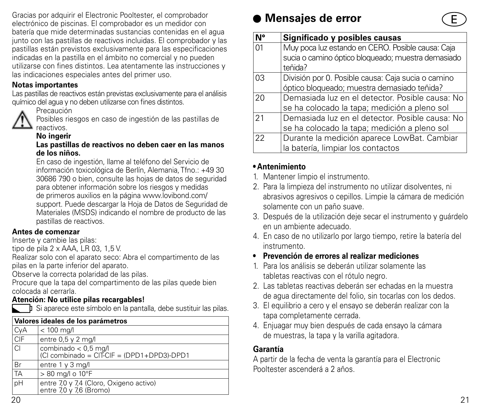Gracias por adquirir el Electronic Pooltester, el comprobador electrónico de piscinas. El comprobador es un medidor con batería que mide determinadas sustancias contenidas en el agua junto con las pastillas de reactivos incluidas. El comprobador y las pastillas están previstos exclusivamente para las especificaciones indicadas en la pastilla en el ámbito no comercial y no pueden utilizarse con fines distintos. Lea atentamente las instrucciones y las indicaciones especiales antes del primer uso.

### **Notas importantes**

Las pastillas de reactivos están previstas exclusivamente para el análisis químico del agua y no deben utilizarse con fines distintos.



Posibles riesgos en caso de ingestión de las pastillas de reactivos.

### **No ingerir**

#### **Las pastillas de reactivos no deben caer en las manos de los niños.**

En caso de ingestión, llame al teléfono del Servicio de información toxicológica de Berlín, Alemania, Tfno.: +49 30 30686 790 o bien, consulte las hojas de datos de seguridad para obtener información sobre los riesgos y medidas de primeros auxilios en la página www.lovibond.com/ support. Puede descargar la Hoja de Datos de Seguridad de Materiales (MSDS) indicando el nombre de producto de las pastillas de reactivos.

### **Antes de comenzar**

Inserte y cambie las pilas:

tipo de pila 2 x AAA, LR 03, 1,5 V.

Realizar solo con el aparato seco: Abra el compartimento de las pilas en la parte inferior del aparato.

Observe la correcta polaridad de las pilas.

Procure que la tapa del compartimento de las pilas quede bien colocada al cerrarla.

### **Atención: No utilice pilas recargables!**

**T**i Si aparece este símbolo en la pantalla, debe sustituir las pilas.

|           | Valores ideales de los parámetros                                  |  |  |  |
|-----------|--------------------------------------------------------------------|--|--|--|
| CyA       | $< 100$ mg/l                                                       |  |  |  |
| CIF       | entre $0.5$ y $2$ mg/l                                             |  |  |  |
| ICI.      | combinado < 0,5 mg/l<br>(Cl combinado = CIT-CIF = (DPD1+DPD3)-DPD1 |  |  |  |
| <b>Br</b> | entre 1 y 3 mg/l                                                   |  |  |  |
| TA        | > 80 mg/l o 10°F                                                   |  |  |  |
| pH        | entre 7,0 y 7,4 (Cloro, Oxigeno activo)<br>entre 7,0 y 7,6 (Bromo) |  |  |  |

### **Mensajes de error**

| N°         | Significado y posibles causas                      |
|------------|----------------------------------------------------|
| $\Omega$ 1 | Muy poca luz estando en CERO. Posible causa: Caja  |
|            | sucia o camino óptico bloqueado; muestra demasiado |
|            | teñida?                                            |
| 03         | División por 0. Posible causa: Caja sucia o camino |
|            | óptico bloqueado; muestra demasiado teñida?        |
| 20         | Demasiada luz en el detector. Posible causa: No    |
|            | se ha colocado la tapa; medición a pleno sol       |
| 21         | Demasiada luz en el detector. Posible causa: No    |
|            | se ha colocado la tapa; medición a pleno sol       |
| 22         | Durante la medición aparece LowBat. Cambiar        |
|            | la batería, limpiar los contactos                  |

### **• Antenimiento**

- 1. Mantener limpio el instrumento.
- 2. Para la limpieza del instrumento no utilizar disolventes, ni abrasivos agresivos o cepillos. Limpie la cámara de medición solamente con un paño suave.
- 3. Después de la utilización deje secar el instrumento y guárdelo en un ambiente adecuado.
- 4. En caso de no utilizarlo por largo tiempo, retire la batería del instrumento.

### **• Prevención de errores al realizar mediciones**

- 1. Para los análisis se deberán utilizar solamente las tabletas reactivas con el rótulo negro.
- 2. Las tabletas reactivas deberán ser echadas en la muestra de agua directamente del folio, sin tocarlas con los dedos.
- 3. El equilibrio a cero y el ensayo se deberán realizar con la tapa completamente cerrada.
- 4. Enjuagar muy bien después de cada ensayo la cámara de muestras, la tapa y la varilla agitadora.

### **Garantía**

A partir de la fecha de venta la garantía para el Electronic Pooltester ascenderá a 2 años.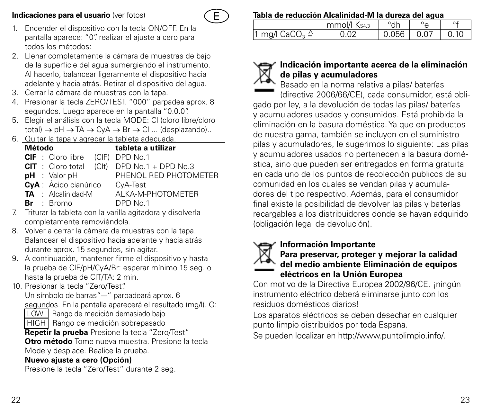### **Indicaciones para el usuario** (ver fotos)



- 1. Encender el dispositivo con la tecla ON/OFF. En la pantalla aparece: "0". realizar el ajuste a cero para todos los métodos:
- 2. Llenar completamente la cámara de muestras de bajo de la superficie del agua sumergiendo el instrumento. Al hacerlo, balancear ligeramente el dispositivo hacia adelante y hacia atrás. Retirar el dispositivo del agua.
- 3. Cerrar la cámara de muestras con la tapa.
- 4. Presionar la tecla ZERO/TEST. "000" parpadea aprox. 8 segundos. Luego aparece en la pantalla "0.0.0".
- 5. Elegir el análisis con la tecla MODE: Cl (cloro libre/cloro  $total) \rightarrow pH \rightarrow TA \rightarrow CvA \rightarrow Br \rightarrow Cl \dots$  (desplazando)...
- 6. Quitar la tapa y agregar la tableta adecuada.

| o. aana a apo , agroga la tablota aaooddaa. |  |                           |                                               |
|---------------------------------------------|--|---------------------------|-----------------------------------------------|
| Método                                      |  |                           | tableta a utilizar                            |
|                                             |  | <b>CIF</b> : Cloro libre  | (CIF) DPD No.1                                |
|                                             |  |                           | $CIT$ : Cloro total (Clt) DPD No.1 + DPD No.3 |
|                                             |  | $H :$ Valor pH            | PHENOL RED PHOTOMETER                         |
|                                             |  | CyA : Ácido cianúrico     | CyA-Test                                      |
|                                             |  | <b>TA</b> : Alcalinidad-M | AI KA-M-PHOTOMETER                            |
|                                             |  | <b>Br</b> : Bromo         | DPD No.1                                      |

- 7. Triturar la tableta con la varilla agitadora y disolverla completamente removiéndola.
- 8. Volver a cerrar la cámara de muestras con la tapa. Balancear el dispositivo hacia adelante y hacia atrás durante aprox. 15 segundos, sin agitar.
- 9. A continuación, mantener firme el dispositivo y hasta la prueba de ClF/pH/CyA/Br: esperar mínimo 15 seg. o hasta la prueba de ClT/TA: 2 min.
- 10. Presionar la tecla "Zero/Test". Un símbolo de barras"--" parpadeará aprox. 6 segundos. En la pantalla aparecerá el resultado (mg/l). O: LOW Rango de medición demasiado bajo HIGH Rango de medición sobrepasado **Repetir la prueba** Presione la tecla "Zero/Test" **Otro método** Tome nueva muestra. Presione la tecla Mode y desplace. Realice la prueba. **Nuevo ajuste a cero (Opción)**

Presione la tecla "Zero/Test" durante 2 seg.

### **Tabla de reducción Alcalinidad-M la dureza del agua**

|                                       | mmol/l Ks43 | °dh          | $\circ$ |      |
|---------------------------------------|-------------|--------------|---------|------|
| 1 mg/l $\mathsf{CaCO}_{3} \triangleq$ | 0.02        | $0.056$ 0.07 |         | 0.10 |

### **Indicación importante acerca de la eliminación de pilas y acumuladores**

Basado en la norma relativa a pilas/ baterías (directiva 2006/66/CE), cada consumidor, está obligado por ley, a la devolución de todas las pilas/ baterías y acumuladores usados y consumidos. Está prohibida la eliminación en la basura doméstica. Ya que en productos de nuestra gama, también se incluyen en el suministro pilas y acumuladores, le sugerimos lo siguiente: Las pilas y acumuladores usados no pertenecen a la basura doméstica, sino que pueden ser entregados en forma gratuita en cada uno de los puntos de recolección públicos de su comunidad en los cuales se vendan pilas y acumuladores del tipo respectivo. Además, para el consumidor final existe la posibilidad de devolver las pilas y baterías recargables a los distribuidores donde se hayan adquirido (obligación legal de devolución).

### **Información Importante**



### **Para preservar, proteger y mejorar la calidad del medio ambiente Eliminación de equipos eléctricos en la Unión Europea**

Con motivo de la Directiva Europea 2002/96/CE, ¡ningún instrumento eléctrico deberá eliminarse junto con los residuos domésticos diarios!

Los aparatos eléctricos se deben desechar en cualquier punto limpio distribuidos por toda España.

Se pueden localizar en http://www.puntolimpio.info/.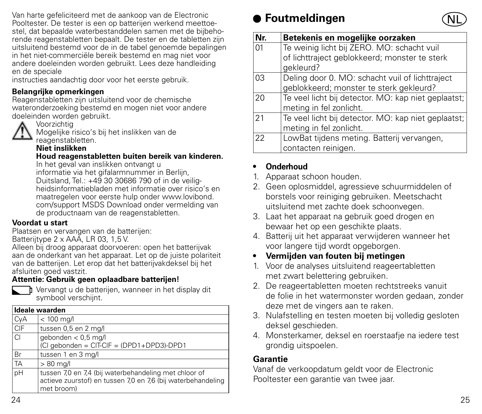Van harte gefeliciteerd met de aankoop van de Electronic Pooltester. De tester is een op batterijen werkend meettoestel, dat bepaalde waterbestanddelen samen met de bijbehorende reagenstabletten bepaalt. De tester en de tabletten zijn uitsluitend bestemd voor de in de tabel genoemde bepalingen in het niet-commerciële bereik bestemd en mag niet voor andere doeleinden worden gebruikt. Lees deze handleiding en de speciale

instructies aandachtig door voor het eerste gebruik.

### **Belangrijke opmerkingen**

Reagenstabletten zijn uitsluitend voor de chemische wateronderzoeking bestemd en mogen niet voor andere doeleinden worden gebruikt.



Voorzichtig

Mogelijke risico's bij het inslikken van de reagenstabletten.

### **Niet inslikken**

**Houd reagenstabletten buiten bereik van kinderen.**

In het geval van inslikken ontvangt u

informatie via het gifalarmnummer in Berlijn, Duitsland, Tel.: +49 30 30686 790 of in de veiligheidsinformatiebladen met informatie over risico's en maatregelen voor eerste hulp onder www.lovibond. com/support MSDS Download onder vermelding van de productnaam van de reagenstabletten.

### **Voordat u start**

Plaatsen en vervangen van de batterijen:

Batterijtype 2 x AAA, LR 03, 1,5 V.

Alleen bij droog apparaat doorvoeren: open het batterijvak aan de onderkant van het apparaat. Let op de juiste polariteit van de batterijen. Let erop dat het batterijvakdeksel bij het afsluiten goed vastzit.

### **Attentie: Gebruik geen oplaadbare batterijen!**



Vervangt u de batterijen, wanneer in het display dit symbool verschijnt.

|     | Ideale waarden                                                                                                                      |
|-----|-------------------------------------------------------------------------------------------------------------------------------------|
| CyA | $< 100$ mg/l                                                                                                                        |
| CIF | tussen 0,5 en 2 mg/l                                                                                                                |
| ıCl | gebonden < 0,5 mg/l<br>(Cl gebonden = CIT-CIF = (DPD1+DPD3)-DPD1                                                                    |
| Br  | tussen 1 en 3 mg/l                                                                                                                  |
| TA  | $>80$ mg/l                                                                                                                          |
| pΗ  | tussen 7,0 en 7,4 (bij waterbehandeling met chloor of<br>actieve zuurstof) en tussen 7,0 en 7,6 (bij waterbehandeling<br>met broom) |

## **Foutmeldingen**



| Nr. | Betekenis en mogelijke oorzaken                     |
|-----|-----------------------------------------------------|
| 01  | Te weinig licht bij ZERO. MO: schacht vuil          |
|     | of lichttraject geblokkeerd; monster te sterk       |
|     | aekleurd?                                           |
| 03  | Deling door 0. MO: schacht vuil of lichttraject     |
|     | geblokkeerd; monster te sterk gekleurd?             |
| 20  | Te veel licht bij detector. MO: kap niet geplaatst; |
|     | meting in fel zonlicht.                             |
| 21  | Te veel licht bij detector. MO: kap niet geplaatst; |
|     | meting in fel zonlicht.                             |
| 22  | LowBat tijdens meting. Batterij vervangen,          |
|     | contacten reinigen.                                 |

### **• Onderhoud**

- 1. Apparaat schoon houden.
- 2. Geen oplosmiddel, agressieve schuurmiddelen of borstels voor reiniging gebruiken. Meetschacht uitsluitend met zachte doek schoonvegen.
- 3. Laat het apparaat na gebruik goed drogen en bewaar het op een geschikte plaats.
- 4. Batterij uit het apparaat verwijderen wanneer het voor langere tijd wordt opgeborgen.
- **• Vermijden van fouten bij metingen**
- 1. Voor de analyses uitsluitend reageertabletten met zwart belettering gebruiken.
- 2. De reageertabletten moeten rechtstreeks vanuit de folie in het watermonster worden gedaan, zonder deze met de vingers aan te raken.
- 3. Nulafstelling en testen moeten bij volledig gesloten deksel geschieden.
- 4. Monsterkamer, deksel en roerstaafje na iedere test grondig uitspoelen.

### **Garantie**

Vanaf de verkoopdatum geldt voor de Electronic Pooltester een garantie van twee jaar.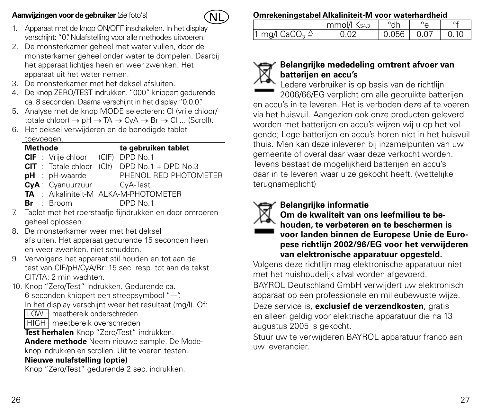### **Aanwijzingen voor de gebruiker** (zie foto's)



- 1. Apparaat met de knop ON/OFF inschakelen. In het display verschijnt: "0". Nulafstelling voor alle methodes uitvoeren:
- 2. De monsterkamer geheel met water vullen, door de monsterkamer geheel onder water te dompelen. Daarbij het apparaat lichtjes heen en weer zwenken. Het apparaat uit het water nemen.
- 3. De monsterkamer met het deksel afsluiten.
- 4. De knop ZERO/TEST indrukken. "000" knippert gedurende ca. 8 seconden. Daarna verschijnt in het display "0.0.0".
- 5. Analyse met de knop MODE selecteren: Cl (vrije chloor/ totale chloor)  $\rightarrow$  pH  $\rightarrow$  TA  $\rightarrow$  CyA  $\rightarrow$  Br  $\rightarrow$  Cl ... (Scroll).
- 6. Het deksel verwijderen en de benodigde tablet toevoegen.

|    | <b>Methode</b>                                |  | te gebruiken tablet                                      |  |
|----|-----------------------------------------------|--|----------------------------------------------------------|--|
|    | CIF : Vrije chloor (CIF) DPD No.1             |  |                                                          |  |
|    |                                               |  | $CIT$ : Totale chloor (Clt) DPD No.1 + DPD No.3          |  |
|    | $pH$ : $pH$ -waarde                           |  | PHENOL RED PHOTOMETER                                    |  |
|    | CyA: Cyanuurzuur                              |  | CvA-Test                                                 |  |
|    | TA: Alkaliniteit-M ALKA-M-PHOTOMETER          |  |                                                          |  |
|    | $Br \t : Brown$                               |  | DPD No.1                                                 |  |
| 7. |                                               |  | Tablet met het roerstaafje fijndrukken en door omroeren  |  |
|    | geheel oplossen.                              |  |                                                          |  |
| 8. | De monsterkamer weer met het deksel           |  |                                                          |  |
|    |                                               |  | afsluiten. Het apparaat gedurende 15 seconden heen       |  |
|    | en weer zwenken, niet schudden.               |  |                                                          |  |
| 9. |                                               |  | Vervolgens het apparaat stil houden en tot aan de        |  |
|    |                                               |  | test van CIF/pH/CyA/Br: 15 sec. resp. tot aan de tekst   |  |
|    | CIT/TA: 2 min wachten.                        |  |                                                          |  |
|    | 10. Knop "Zero/Test" indrukken. Gedurende ca. |  |                                                          |  |
|    | 6 seconden knippert een streepsymbool "--".   |  |                                                          |  |
|    |                                               |  | In het display verschijnt weer het resultaat (mg/l). Of: |  |
|    | LOW I meetbereik onderschreden                |  |                                                          |  |
|    | HIGH   meetbereik overschreden                |  |                                                          |  |
|    | Test herhalen Knop "Zero/Test" indrukken.     |  |                                                          |  |
|    |                                               |  | Andere methode Neem nieuwe sample. De Mode-              |  |
|    |                                               |  | knop indrukken en scrollen. Uit te voeren testen.        |  |
|    | Nieuwe nulafstelling (optie)                  |  |                                                          |  |
|    | Knop "Zero/Test" gedurende 2 sec. indrukken.  |  |                                                          |  |

#### **Omrekeningstabel Alkaliniteit-M voor waterhardheid**

|                                       | mmol/l Ks43 | °dh          |      |
|---------------------------------------|-------------|--------------|------|
| 1 mg/l $\mathsf{CaCO}_{3} \triangleq$ | 0.02        | $0.056$ 0.07 | 0.10 |



### **Belangrijke mededeling omtrent afvoer van batterijen en accu's**

Ledere verbruiker is op basis van de richtlijn 2006/66/EG verplicht om alle gebruikte batterijen en accu's in te leveren. Het is verboden deze af te voeren via het huisvuil. Aangezien ook onze producten geleverd worden met batterijen en accu's wijzen wij u op het volgende; Lege batterijen en accu's horen niet in het huisvuil thuis. Men kan deze inleveren bij inzamelpunten van uw gemeente of overal daar waar deze verkocht worden. Tevens bestaat de mogelijkheid batterijen en accu's daar in te leveren waar u ze gekocht heeft. (wettelijke terugnameplicht)

### **Belangrijke informatie**



### **Om de kwaliteit van ons leefmilieu te behouden, te verbeteren en te beschermen is voor landen binnen de Europese Unie de Europese richtlijn 2002/96/EG voor het verwijderen van elektronische apparatuur opgesteld.**

Volgens deze richtlijn mag elektronische apparatuur niet met het huishoudelijk afval worden afgevoerd.

BAYROL Deutschland GmbH verwijdert uw elektronisch apparaat op een professionele en milieubewuste wijze.

Deze service is, **exclusief de verzendkosten**, gratis en alleen geldig voor elektrische apparatuur die na 13 augustus 2005 is gekocht.

Stuur uw te verwijderen BAYROL apparatuur franco aan uw leverancier.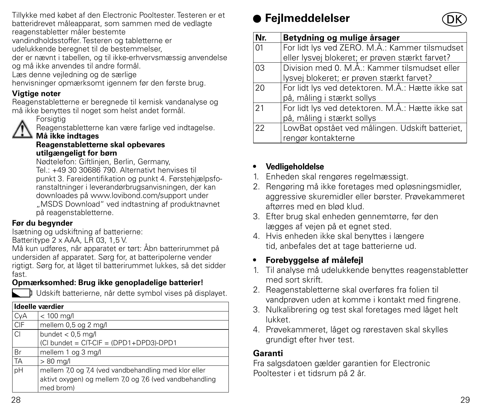Tillykke med købet af den Electronic Pooltester. Testeren er et batteridrevet måleapparat, som sammen med de vedlagte reagenstabletter måler bestemte

vandindholdsstoffer. Testeren og tabletterne er

udelukkende beregnet til de bestemmelser,

der er nævnt i tabellen, og til ikke-erhvervsmæssig anvendelse og må ikke anvendes til andre formål.

Læs denne vejledning og de særlige

henvisninger opmærksomt igennem før den første brug.

### **Vigtige noter**

Reagenstabletterne er beregnede til kemisk vandanalyse og må ikke benyttes til noget som helst andet formål.



#### Forsiatia Reagenstabletterne kan være farlige ved indtagelse.

#### **Må ikke indtages Reagenstabletterne skal opbevares**

### **utilgængeligt for børn**

Nødtelefon: Giftlinjen, Berlin, Germany, Tel.: +49 30 30686 790. Alternativt henvises til punkt 3. Fareidentifikation og punkt 4. Førstehjælpsforanstaltninger i leverandørbrugsanvisningen, der kan downloades på www.lovibond.com/support under "MSDS Download" ved indtastning af produktnavnet på reagenstabletterne.

### **Før du begynder**

Isætning og udskiftning af batterierne: Batteritype 2 x AAA, LR 03, 1.5 V.

Må kun udføres, når apparatet er tørt: Åbn batterirummet på undersiden af apparatet. Sørg for, at batteripolerne vender rigtigt. Sørg for, at låget til batterirummet lukkes, så det sidder fast.

### **Opmærksomhed: Brug ikke genopladelige batterier!**



**Udskift batterierne, når dette symbol vises på displayet.** 

|      | Ideelle værdier                                         |  |  |  |
|------|---------------------------------------------------------|--|--|--|
| CyA  | $< 100$ mg/l                                            |  |  |  |
| CIF  | mellem 0,5 og 2 mg/l                                    |  |  |  |
| ICI. | bundet $< 0.5$ mg/l                                     |  |  |  |
|      | (Cl bundet = CIT-CIF = (DPD1+DPD3)-DPD1                 |  |  |  |
| Br   | mellem 1 og 3 mg/l                                      |  |  |  |
| TA   | $>80$ mg/l                                              |  |  |  |
| pΗ   | mellem 7,0 og 7,4 (ved vandbehandling med klor eller    |  |  |  |
|      | aktivt oxygen) og mellem 7,0 og 7,6 (ved vandbehandling |  |  |  |
|      | med brom)                                               |  |  |  |

## **Fejlmeddelelser**



| Nr. | Betydning og mulige årsager                       |
|-----|---------------------------------------------------|
| 01  | For lidt lys ved ZERO. M.Å.: Kammer tilsmudset    |
|     | eller lysvej blokeret; er prøven stærkt farvet?   |
| 03  | Division med 0. M.Å.: Kammer tilsmudset eller     |
|     | lysvej blokeret; er prøven stærkt farvet?         |
| 20  | For lidt lys ved detektoren. M.Å.: Hætte ikke sat |
|     | på, måling i stærkt sollys                        |
| 21  | For lidt lys ved detektoren. M.Å.: Hætte ikke sat |
|     | på, måling i stærkt sollys                        |
| 22  | LowBat opstået ved målingen. Udskift batteriet,   |
|     | rengør kontakterne                                |

### **• Vedligeholdelse**

- 1. Enheden skal rengøres regelmæssigt.
- 2. Rengøring må ikke foretages med opløsningsmidler, aggressive skuremidler eller børster. Prøvekammeret aftørres med en blød klud.
- 3. Efter brug skal enheden gennemtørre, før den lægges af vejen på et egnet sted.
- 4. Hvis enheden ikke skal benyttes i længere tid, anbefales det at tage batterierne ud.

### **• Forebyggelse af målefejl**

- 1. Til analyse må udelukkende benyttes reagenstabletter med sort skrift.
- 2. Reagenstabletterne skal overføres fra folien til vandprøven uden at komme i kontakt med fingrene.
- 3. Nulkalibrering og test skal foretages med låget helt lukket.
- 4. Prøvekammeret, låget og rørestaven skal skylles grundigt efter hver test.

### **Garanti**

Fra salgsdatoen gælder garantien for Electronic Pooltester i et tidsrum på 2 år.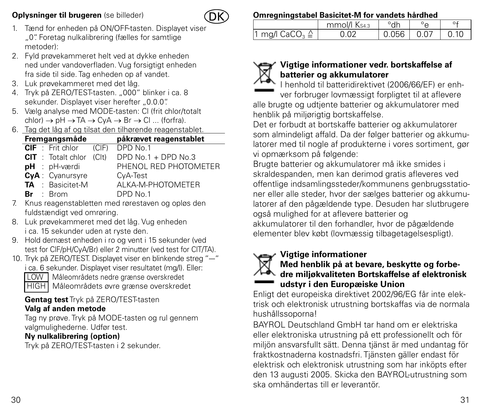### **Oplysninger til brugeren** (se billeder)



- 1. Tænd for enheden på ON/OFF-tasten. Displayet viser "0". Foretag nulkalibrering (fælles for samtlige metoder):
- 2. Fyld prøvekammeret helt ved at dykke enheden ned under vandoverfladen. Vug forsigtigt enheden fra side til side. Tag enheden op af vandet.
- 3. Luk prøvekammeret med det låg.
- 4. Tryk på ZERO/TEST-tasten. "000" blinker i ca. 8 sekunder. Displayet viser herefter "0.0.0".
- 5. Vælg analyse med MODE-tasten: Cl (frit chlor/totalt  $chlor) \rightarrow pH \rightarrow TA \rightarrow CVA \rightarrow Br \rightarrow Cl \dots$  (forfra).
- 6. Tag det låg af og tilsat den tilhørende reagenstablet.

|  | Fremgangsmåde             |       | påkrævet reagenstablet |
|--|---------------------------|-------|------------------------|
|  | CIF: Frit chlor           | (C F) | DPD No.1               |
|  | <b>CIT</b> : Totalt chlor | (C t) | DPD $No.1 + DPD No.3$  |
|  | pH : pH-værdi             |       | PHENOL RED PHOTOMETER  |
|  | CyA: Cyanursyre           |       | CyA-Test               |
|  | TA : Basicitet-M          |       | ALKA-M-PHOTOMETER      |
|  | $Br \tBrm$                |       | DPD No.1               |

- 7. Knus reagenstabletten med rørestaven og opløs den fuldstændigt ved omrøring.
- 8. Luk prøvekammeret med det låg. Vug enheden i ca. 15 sekunder uden at ryste den.
- 9. Hold dernæst enheden i ro og vent i 15 sekunder (ved test for ClF/pH/CyA/Br) eller 2 minutter (ved test for ClT/TA).
- 10. Tryk på ZERO/TEST. Displayet viser en blinkende streg "--" i ca. 6 sekunder. Displayet viser resultatet (mg/l). Eller: LOW | Måleområdets nedre grænse overskredet HIGH Måleområdets øvre grænse overskredet

### **Gentag test** Tryk på ZERO/TEST-tasten **Valg af anden metode**

Tag ny prøve. Tryk på MODE-tasten og rul gennem valgmulighederne. Udfør test.

### **Ny nulkalibrering (option)**

Tryk på ZERO/TEST-tasten i 2 sekunder.

### **Omregningstabel Basicitet-M for vandets hårdhed**

|                                       | mmol/l Ks43 | $\circ$ <sub>dh</sub> |      |      |
|---------------------------------------|-------------|-----------------------|------|------|
| 1 mg/l $\mathsf{CaCO}_{3} \triangleq$ | ገ በን        | 0.056                 | 0.07 | 0.10 |



### **Vigtige informationer vedr. bortskaffelse af batterier og akkumulatorer**

I henhold til batteridirektivet (2006/66/EF) er enh-

ver forbruger lovmæssigt forpligtet til at aflevere alle brugte og udtjente batterier og akkumulatorer med henblik på miljørigtig bortskaffelse.

Det er forbudt at bortskaffe batterier og akkumulatorer som almindeligt affald. Da der følger batterier og akkumulatorer med til nogle af produkterne i vores sortiment, gør vi opmærksom på følgende:

Brugte batterier og akkumulatorer må ikke smides i skraldespanden, men kan derimod gratis afleveres ved offentlige indsamlingssteder/kommunens genbrugsstationer eller alle steder, hvor der sælges batterier og akkumulatorer af den pågældende type. Desuden har slutbrugere også mulighed for at aflevere batterier og akkumulatorer til den forhandler, hvor de pågældende elementer blev købt (lovmæssig tilbagetagelsespligt).

### **Vigtige informationer**



### **Med henblik på at bevare, beskytte og forbedre miljøkvaliteten Bortskaffelse af elektronisk udstyr i den Europæiske Union**

Enligt det europeiska direktivet 2002/96/EG får inte elektrisk och elektronisk utrustning bortskaffas via de normala hushållssoporna!

BAYROL Deutschland GmbH tar hand om er elektriska eller elektroniska utrustning på ett professionellt och för miljön ansvarsfullt sätt. Denna tjänst är med undantag för fraktkostnaderna kostnadsfri. Tjänsten gäller endast för elektrisk och elektronisk utrustning som har inköpts efter den 13 augusti 2005. Skicka den BAYROL-utrustning som ska omhändertas till er leverantör.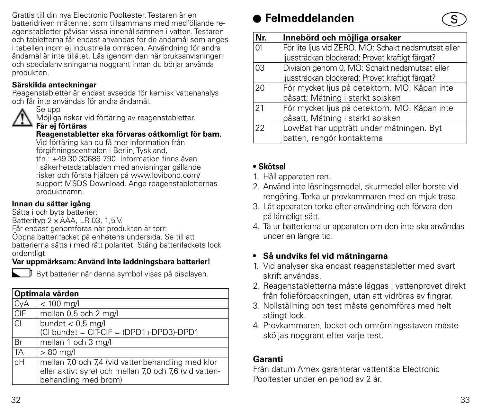Grattis till din nya Electronic Pooltester. Testaren är en batteridriven mätenhet som tillsammans med medföljande reagenstabletter påvisar vissa innehållsämnen i vatten. Testaren och tabletterna får endast användas för de ändamål som anges i tabellen inom ej industriella områden. Användning för andra ändamål är inte tillåtet. Läs igenom den här bruksanvisningen och specialanvisningarna noggrant innan du börjar använda produkten.

### **Särskilda anteckningar**

Reagenstabletter är endast avsedda för kemisk vattenanalys och får inte användas för andra ändamål.



Möjliga risker vid förtäring av reagenstabletter.

### **Får ej förtäras**

### **Reagenstabletter ska förvaras oåtkomligt för barn.**

Vid förtäring kan du få mer information från förgiftningscentralen i Berlin, Tyskland, tfn.: +49 30 30686 790. Information finns även i säkerhetsdatabladen med anvisningar gällande risker och första hjälpen på www.lovibond.com/ support MSDS Download. Ange reagenstabletternas produktnamn.

### **Innan du sätter igång**

Sätta i och byta batterier:

Batterityp 2 x AAA, LR 03, 1,5 V.

Får endast genomföras när produkten är torr:

Öppna batterifacket på enhetens undersida. Se till att

batterierna sätts i med rätt polaritet. Stäng batterifackets lock ordentligt.

### **Var uppmärksam: Använd inte laddningsbara batterier!**

Byt batterier när denna symbol visas på displayen.

|     | Optimala värden                                                                                                                     |  |  |
|-----|-------------------------------------------------------------------------------------------------------------------------------------|--|--|
| CyA | $\sqrt{2}$ 100 mg/l                                                                                                                 |  |  |
| CIF | mellan 0,5 och 2 mg/l                                                                                                               |  |  |
| C1  | bundet $< 0.5$ mg/l<br>(CI bundet = CIT-CIF = (DPD1+DPD3)-DPD1                                                                      |  |  |
| Br  | mellan 1 och 3 mg/l                                                                                                                 |  |  |
| TA  | $>80$ mg/l                                                                                                                          |  |  |
| pН  | mellan 7,0 och 7,4 (vid vattenbehandling med klor<br>eller aktivt syre) och mellan 7,0 och 7,6 (vid vatten-<br>behandling med brom) |  |  |

### **Felmeddelanden**

| Nr. | Innebörd och möjliga orsaker                        |
|-----|-----------------------------------------------------|
| 01  | För lite ljus vid ZERO. MO: Schakt nedsmutsat eller |
|     | ljussträckan blockerad; Provet kraftigt färgat?     |
| 03  | Division genom 0. MO: Schakt nedsmutsat eller       |
|     | ljussträckan blockerad; Provet kraftigt färgat?     |
| 20  | För mycket ljus på detektorn. MO: Kåpan inte        |
|     | påsatt; Mätning i starkt solsken                    |
| 21  | För mycket ljus på detektorn. MO: Kåpan inte        |
|     | påsatt; Mätning i starkt solsken                    |
| 22  | LowBat har uppträtt under mätningen. Byt            |
|     | batteri, rengör kontakterna                         |

### **• Skötsel**

- 1. Håll apparaten ren.
- 2. Använd inte lösningsmedel, skurmedel eller borste vid rengöring. Torka ur provkammaren med en mjuk trasa.
- 3. Låt apparaten torka efter användning och förvara den på lämpligt sätt.
- 4. Ta ur batterierna ur apparaten om den inte ska användas under en längre tid.

### **• Så undviks fel vid mätningarna**

- 1. Vid analyser ska endast reagenstabletter med svart skrift användas.
- 2. Reagenstabletterna måste läggas i vattenprovet direkt från folieförpackningen, utan att vidröras av fingrar.
- 3. Nollställning och test måste genomföras med helt stängt lock.
- 4. Provkammaren, locket och omrörningsstaven måste sköljas noggrant efter varie test.

### **Garanti**

Från datum Amex garanterar vattentäta Electronic Pooltester under en period av 2 år.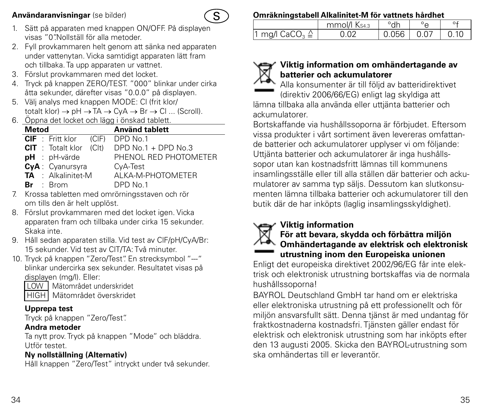### **Användaranvisningar** (se bilder)



- 1. Sätt på apparaten med knappen ON/OFF. På displayen visas "0".Nollställ för alla metoder.
- 2. Fyll provkammaren helt genom att sänka ned apparaten under vattenytan. Vicka samtidigt apparaten lätt fram och tillbaka. Ta upp apparaten ur vattnet.
- 3. Förslut provkammaren med det locket.
- 4. Tryck på knappen ZERO/TEST. "000" blinkar under cirka åtta sekunder, därefter visas "0.0.0" på displayen.
- 5. Välj analys med knappen MODE: Cl (frit klor/ totalt klor)  $\rightarrow$  pH  $\rightarrow$  TA  $\rightarrow$  CvA  $\rightarrow$  Br  $\rightarrow$  Cl ... (Scroll).
- 6. Öppna det locket och lägg i önskad tablett.

| Metod                                  | <b>Använd tablett</b> |
|----------------------------------------|-----------------------|
| <b>CIF</b> : Fritt klor (CIF) DPD No.1 |                       |
| $CIT$ : Totalt klor $(CIt)$            | DPD No.1 + DPD No.3   |
| $pH : pH \cdot \text{värde}$           | PHENOL RED PHOTOMETER |
| CvA: Cvanursvra                        | CyA-Test              |
| <b>TA</b> : Alkalinitet-M              | ALKA-M-PHOTOMETER     |
| $Br \tBrom$                            | DPD No.1              |
|                                        |                       |

- 7. Krossa tabletten med omrörningsstaven och rör om tills den är helt upplöst.
- 8. Förslut provkammaren med det locket igen. Vicka apparaten fram och tillbaka under cirka 15 sekunder. Skaka inte.
- 9. Håll sedan apparaten stilla. Vid test av ClF/pH/CyA/Br: 15 sekunder. Vid test av ClT/TA: Två minuter.
- 10. Tryck på knappen "Zero/Test". En strecksymbol "--" blinkar undercirka sex sekunder. Resultatet visas på displayen (mg/l). Eller: LOW Mätområdet underskridet
	-
	- HIGH Mätområdet överskridet

### **Upprepa test**

Tryck på knappen "Zero/Test".

### **Andra metoder**

Ta nytt prov. Tryck på knappen "Mode" och bläddra. Utför testet.

### **Ny nollställning (Alternativ)**

Håll knappen "Zero/Test" intryckt under två sekunder.

### **Omräkningstabell Alkalinitet-M för vattnets hårdhet**

|                           | mmol/l Ks43 | °dh          |      |
|---------------------------|-------------|--------------|------|
| 1 mg/l $CaCO3 \triangleq$ | 0.02        | $0.056$ 0.07 | 0.10 |



### **Viktig information om omhändertagande av batterier och ackumulatorer**

Alla konsumenter är till följd av batteridirektivet (direktiv 2006/66/EG) enligt lag skyldiga att lämna tillbaka alla använda eller uttjänta batterier och ackumulatorer.

Bortskaffande via hushållssoporna är förbjudet. Eftersom vissa produkter i vårt sortiment även levereras omfattande batterier och ackumulatorer upplyser vi om följande: Uttjänta batterier och ackumulatorer är inga hushållssopor utan kan kostnadsfritt lämnas till kommunens insamlingsställe eller till alla ställen där batterier och ackumulatorer av samma typ säljs. Dessutom kan slutkonsumenten lämna tillbaka batterier och ackumulatorer till den butik där de har inköpts (laglig insamlingsskyldighet).

### **Viktig information**



### **För att bevara, skydda och förbättra miljön Omhändertagande av elektrisk och elektronisk utrustning inom den Europeiska unionen**

Enligt det europeiska direktivet 2002/96/EG får inte elektrisk och elektronisk utrustning bortskaffas via de normala hushållssoporna!

BAYROL Deutschland GmbH tar hand om er elektriska eller elektroniska utrustning på ett professionellt och för miljön ansvarsfullt sätt. Denna tjänst är med undantag för fraktkostnaderna kostnadsfri. Tiänsten gäller endast för elektrisk och elektronisk utrustning som har inköpts efter den 13 augusti 2005. Skicka den BAYROL-utrustning som ska omhändertas till er leverantör.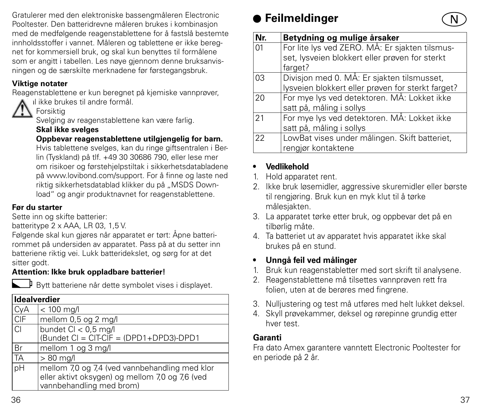Gratulerer med den elektroniske bassengmåleren Electronic Pooltester. Den batteridrevne måleren brukes i kombinasjon med de medfølgende reagenstablettene for å fastslå bestemte innholdsstoffer i vannet. Måleren og tablettene er ikke beregnet for kommersiell bruk, og skal kun benyttes til formålene som er angitt i tabellen. Les nøye gjennom denne bruksanvisningen og de særskilte merknadene før førstegangsbruk.

### **Viktige notater**

Reagenstablettene er kun beregnet på kjemiske vannprøver,



og skal ikke brukes til andre formål.

### Forsiktig

Svelging av reagenstablettene kan være farlig.

### **Skal ikke svelges**

### **Oppbevar reagenstablettene utilgjengelig for barn.**

Hvis tablettene svelges, kan du ringe giftsentralen i Berlin (Tyskland) på tlf. +49 30 30686 790, eller lese mer om risikoer og førstehjelpstiltak i sikkerhetsdatabladene på www.lovibond.com/support. For å finne og laste ned riktig sikkerhetsdatablad klikker du på "MSDS Download" og angir produktnavnet for reagenstablettene.

### **Før du starter**

Sette inn og skifte batterier:

batteritype 2 x AAA, LR 03, 1,5 V.

Følgende skal kun gjøres når apparatet er tørt: Åpne batterirommet på undersiden av apparatet. Pass på at du setter inn batteriene riktig vei. Lukk batteridekslet, og sørg for at det sitter godt.

### **Attention: Ikke bruk oppladbare batterier!**



Bytt batteriene når dette symbolet vises i displayet.

| Idealverdier |                                                                                                                               |
|--------------|-------------------------------------------------------------------------------------------------------------------------------|
| CyA          | $< 100$ mg/l                                                                                                                  |
| CIF          | mellom 0,5 og 2 mg/l                                                                                                          |
| CI           | bundet CI < 0,5 mg/l<br>(Bundet CI = CIT-CIF = (DPD1+DPD3)-DPD1                                                               |
| Br           | mellom 1 og 3 mg/l                                                                                                            |
| <b>TA</b>    | $>80$ mg/l                                                                                                                    |
| pН           | mellom 7,0 og 7,4 (ved vannbehandling med klor<br>eller aktivt oksygen) og mellom 7,0 og 7,6 (ved<br>vannbehandling med brom) |

## **Feilmeldinger**



### **• Vedlikehold**

- 1. Hold apparatet rent.
- 2. Ikke bruk løsemidler, aggressive skuremidler eller børste til rengjøring. Bruk kun en myk klut til å tørke målesjakten.
- 3. La apparatet tørke etter bruk, og oppbevar det på en tilbørlig måte.
- 4. Ta batteriet ut av apparatet hvis apparatet ikke skal brukes på en stund.

### **• Unngå feil ved målinger**

- 1. Bruk kun reagenstabletter med sort skrift til analysene.
- 2. Reagenstablettene må tilsettes vannprøven rett fra folien, uten at de berøres med fingrene.
- 3. Nulljustering og test må utføres med helt lukket deksel.
- 4. Skyll prøvekammer, deksel og rørepinne grundig etter hver test.

### **Garanti**

Fra dato Amex garantere vanntett Electronic Pooltester for en periode på 2 år.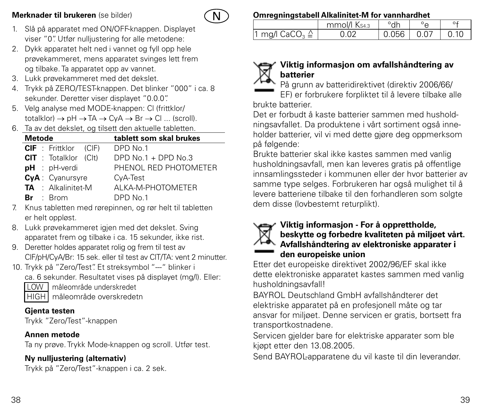### **Merknader til brukeren** (se bilder)



- 1. Slå på apparatet med ON/OFF-knappen. Displayet viser "0". Utfør nulljustering for alle metodene:
- 2. Dykk apparatet helt ned i vannet og fyll opp hele prøvekammeret, mens apparatet svinges lett frem og tilbake. Ta apparatet opp av vannet.
- 3. Lukk prøvekammeret med det dekslet.
- 4. Trykk på ZERO/TEST-knappen. Det blinker "000" i ca. 8 sekunder. Deretter viser displayet "0.0.0".
- 5. Velg analyse med MODE-knappen: Cl (frittklor/  $totalklor$   $\rightarrow$   $nH \rightarrow TA \rightarrow CvA \rightarrow Br \rightarrow Cl$  ... (scroll).
- 6. Ta av det dekslet, og tilsett den aktuelle tabletten.

| Metode                       | tablett som skal brukes |
|------------------------------|-------------------------|
| <b>CIF</b> : Frittklor (CIF) | DPD No.1                |
| <b>CIT</b> : Totalklor (Clt) | DPD $No.1 + DPD No.3$   |
| pH : pH-verdi                | PHENOL RED PHOTOMETER   |
| CyA: Cyanursyre              | CyA-Test                |
| <b>TA</b> : Alkalinitet-M    | AI KA-M-PHOTOMETER      |
| $Br \tBrm$                   | DPD No.1                |

- 7. Knus tabletten med rørepinnen, og rør helt til tabletten er helt oppløst.
- 8. Lukk prøvekammeret igjen med det dekslet. Sving apparatet frem og tilbake i ca. 15 sekunder, ikke rist.
- 9. Deretter holdes apparatet rolig og frem til test av ClF/pH/CyA/Br: 15 sek. eller til test av ClT/TA: vent 2 minutter.
- 10. Trykk på "Zero/Test". Et streksymbol "---" blinker i

ca. 6 sekunder. Resultatet vises på displayet (mg/l). Eller:

LOW måleområde underskredet

HIGH måleområde overskredetn

### **Gjenta testen**

Trykk "Zero/Test"-knappen

### **Annen metode**

Ta ny prøve. Trykk Mode-knappen og scroll. Utfør test.

### **Ny nulljustering (alternativ)**

Trykk på "Zero/Test"-knappen i ca. 2 sek.

### **Omregningstabell Alkalinitet-M for vannhardhet**

|                                       | mmol/l Ks43 | °dh          |      |
|---------------------------------------|-------------|--------------|------|
| 1 mg/l $\mathsf{CaCO}_{3} \triangleq$ | 0.02        | $0.056$ 0.07 | 0.10 |

### **Viktig informasjon om avfallshåndtering av batterier**

På grunn av batteridirektivet (direktiv 2006/66/ EF) er forbrukere forpliktet til å levere tilbake alle brukte batterier.

Det er forbudt å kaste batterier sammen med husholdningsavfallet. Da produktene i vårt sortiment også inneholder batterier, vil vi med dette gjøre deg oppmerksom på følgende:

Brukte batterier skal ikke kastes sammen med vanlig husholdningsavfall, men kan leveres gratis på offentlige innsamlingssteder i kommunen eller der hvor batterier av samme type selges. Forbrukeren har også mulighet til å levere batteriene tilbake til den forhandleren som solgte dem disse (lovbestemt returplikt).

### **Viktig informasjon - For å opprettholde, beskytte og forbedre kvaliteten på miljøet vårt. Avfallshåndtering av elektroniske apparater i den europeiske union**

Etter det europeiske direktivet 2002/96/EF skal ikke dette elektroniske apparatet kastes sammen med vanlig husholdningsavfall!

BAYROL Deutschland GmbH avfallshåndterer det elektriske apparatet på en profesjonell måte og tar ansvar for miljøet. Denne servicen er gratis, bortsett fra transportkostnadene.

Servicen gjelder bare for elektriske apparater som ble kjøpt etter den 13.08.2005.

Send BAYROL-apparatene du vil kaste til din leverandør.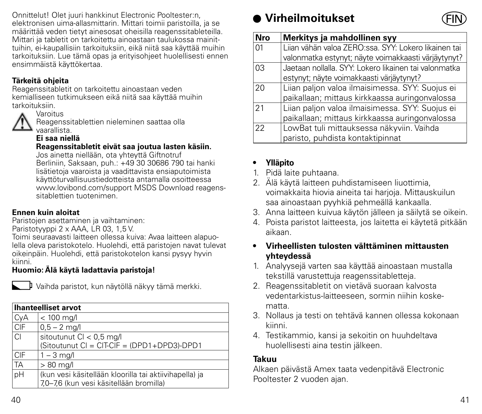Onnittelut! Olet juuri hankkinut Electronic Pooltester:n, elektronisen uima-allasmittarin. Mittari toimii paristoilla, ja se määrittää veden tietyt ainesosat oheisilla reagenssitableteilla. Mittari ja tabletit on tarkoitettu ainoastaan taulukossa mainittuihin, ei-kaupallisiin tarkoituksiin, eikä niitä saa käyttää muihin tarkoituksiin. Lue tämä opas ja erityisohjeet huolellisesti ennen ensimmäistä käyttökertaa.

### **Tärkeitä ohjeita**

Reagenssitabletit on tarkoitettu ainoastaan veden kemialliseen tutkimukseen eikä niitä saa käyttää muihin tarkoituksiin.



Reagenssitablettien nieleminen saattaa olla vaarallista.

### **Ei saa niellä**

**Reagenssitabletit eivät saa joutua lasten käsiin.**

Jos ainetta niellään, ota yhteyttä Giftnotruf Berliniin, Saksaan, puh.: +49 30 30686 790 tai hanki lisätietoja vaaroista ja vaadittavista ensiaputoimista käyttöturvallisuustiedotteista antamalla osoitteessa www.lovibond.com/support MSDS Download reagenssitablettien tuotenimen.

### **Ennen kuin aloitat**

Paristojen asettaminen ja vaihtaminen:

Paristotyyppi 2 x AAA, LR 03, 1,5 V.

Toimi seuraavasti laitteen ollessa kuiva: Avaa laitteen alapuolella oleva paristokotelo. Huolehdi, että paristojen navat tulevat oikeinpäin. Huolehdi, että paristokotelon kansi pysyy hyvin kiinni.

### **Huomio: Älä käytä ladattavia paristoja!**



Vaihda paristot, kun näytöllä näkyy tämä merkki.

|            | <b>Ihanteelliset arvot</b>                                                                        |  |  |
|------------|---------------------------------------------------------------------------------------------------|--|--|
|            | $< 100$ mg/l                                                                                      |  |  |
| CyA        | $0.5 - 2$ mg/l                                                                                    |  |  |
| lcı        | sitoutunut $Cl < 0.5$ mg/l<br>(Sitoutunut CI = CIT-CIF = (DPD1+DPD3)-DPD1                         |  |  |
| <b>CIF</b> | $1 - 3$ mg/                                                                                       |  |  |
| <b>TA</b>  | $>80$ mg/l                                                                                        |  |  |
| <b>DH</b>  | (kun vesi käsitellään kloorilla tai aktiivihapella) ja<br>7,0-7,6 (kun vesi käsitellään bromilla) |  |  |

## **Virheilmoitukset**



| <b>Nro</b> | Merkitys ja mahdollinen syy                           |
|------------|-------------------------------------------------------|
| 01         | Liian vähän valoa ZERO:ssa. SYY: Lokero likainen tai  |
|            | valonmatka estynyt; näyte voimakkaasti värjäytynyt?   |
| 03         | Jaetaan nollalla. SYY: Lokero likainen tai valonmatka |
|            | estynyt; näyte voimakkaasti värjäytynyt?              |
| 20         | Liian paljon valoa ilmaisimessa. SYY: Suojus ei       |
|            | paikallaan; mittaus kirkkaassa auringonvalossa        |
| 21         | Liian paljon valoa ilmaisimessa. SYY: Suojus ei       |
|            | paikallaan; mittaus kirkkaassa auringonvalossa        |
| 22         | LowBat tuli mittauksessa näkyviin. Vaihda             |
|            | paristo, puhdista kontaktipinnat                      |

### **• Ylläpito**

- 1. Pidä laite puhtaana.
- 2. Älä käytä laitteen puhdistamiseen liuottimia, voimakkaita hiovia aineita tai harjoja. Mittauskuilun saa ainoastaan pyyhkiä pehmeällä kankaalla.
- 3. Anna laitteen kuivua käytön jälleen ja säilytä se oikein.
- 4. Poista paristot laitteesta, jos laitetta ei käytetä pitkään aikaan.

### **• Virheellisten tulosten välttäminen mittausten yhteydessä**

- 1. Analyysejä varten saa käyttää ainoastaan mustalla tekstillä varustettuja reagenssitabletteja.
- 2. Reagenssitabletit on vietävä suoraan kalvosta vedentarkistus-laitteeseen, sormin niihin koskematta.
- 3. Nollaus ja testi on tehtävä kannen ollessa kokonaan kiinni.
- 4. Testikammio, kansi ja sekoitin on huuhdeltava huolellisesti aina testin jälkeen.

### **Takuu**

Alkaen päivästä Amex taata vedenpitävä Electronic Pooltester 2 vuoden ajan.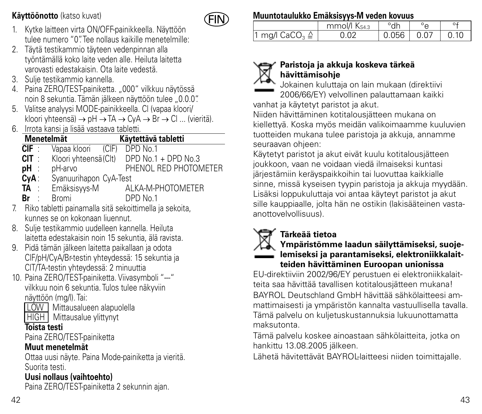**Käyttöönotto** (katso kuvat)



- 1. Kytke laitteen virta ON/OFF-painikkeella. Näyttöön tulee numero "0". Tee nollaus kaikille menetelmille:
- 2. Täytä testikammio täyteen vedenpinnan alla työntämällä koko laite veden alle. Heiluta laitetta varovasti edestakaisin. Ota laite vedestä.
- 3. Sulje testikammio kannella.
- 4. Paina ZERO/TEST-painiketta. "000" vilkkuu näytössä noin 8 sekuntia. Tämän jälkeen näyttöön tulee "0.0.0".
- 5. Valitse analyysi MODE-painikkeella. Cl (vapaa kloori/ kloori yhteensä) → pH → TA → CyA → Br → Cl ... (vieritä).
- 6. Irrota kansi ja lisää vastaava tabletti.

| Menetelmät |                        | Käytettävä tabletti |                       |  |
|------------|------------------------|---------------------|-----------------------|--|
| CIF:       | Vapaa kloori           | (C F)               | DPD No.1              |  |
| CIT :      | Kloori yhteensä (Clt)  |                     | DPD No.1 + DPD No.3   |  |
| pH ∶       | pH-arvo                |                     | PHENOL RED PHOTOMETER |  |
| CyA:       | Syanuurihapon CyA-Test |                     |                       |  |
| TA :       | Emäksisyys-M           |                     | ALKA-M-PHOTOMETER     |  |

- **Br** : Bromi DPD No.1
- 7. Riko tabletti painamalla sitä sekoittimella ja sekoita, kunnes se on kokonaan liuennut.
- 8. Sulje testikammio uudelleen kannella. Heiluta laitetta edestakaisin noin 15 sekuntia, älä ravista.
- 9. Pidä tämän jälkeen laitetta paikallaan ja odota ClF/pH/CyA/Br-testin yhteydessä: 15 sekuntia ja ClT/TA-testin yhteydessä: 2 minuuttia
- 10. Paina ZERO/TEST-painiketta. Viivasymboli "--" vilkkuu noin 6 sekuntia. Tulos tulee näkyviin näyttöön (mg/l). Tai:
	- LOW Mittausalueen alapuolella
	- **HIGH** Mittausalue vlittynyt

### **Toista testi**

Paina ZERO/TEST-painiketta

### **Muut menetelmät**

Ottaa uusi näyte. Paina Mode-painiketta ja vieritä. Suorita testi.

### **Uusi nollaus (vaihtoehto)**

Paina ZERO/TEST-painiketta 2 sekunnin ajan.

### **Muuntotaulukko Emäksisyys-M veden kovuus**

|                               | mmol/l Ks43 | °dh          |      |
|-------------------------------|-------------|--------------|------|
| 1 mg/l CaCO $_3$ $\triangleq$ | 0.02        | $0.056$ 0.07 | 0.10 |



### **Paristoja ja akkuja koskeva tärkeä hävittämisohje**

Jokainen kuluttaja on lain mukaan (direktiivi 2006/66/EY) velvollinen palauttamaan kaikki vanhat ja käytetyt paristot ja akut.

Niiden hävittäminen kotitalousjätteen mukana on kiellettyä. Koska myös meidän valikoimaamme kuuluvien tuotteiden mukana tulee paristoja ja akkuja, annamme seuraavan ohjeen:

Käytetyt paristot ja akut eivät kuulu kotitalousjätteen joukkoon, vaan ne voidaan viedä ilmaiseksi kuntasi järjestämiin keräyspaikkoihin tai luovuttaa kaikkialle sinne, missä kyseisen tyypin paristoja ja akkuja myydään. Lisäksi loppukuluttaja voi antaa käyteyt paristot ja akut sille kauppiaalle, jolta hän ne ostikin (lakisääteinen vastaanottovelvollisuus).

### **Tärkeää tietoa**



### **Ympäristömme laadun säilyttämiseksi, suojelemiseksi ja parantamiseksi, elektroniikkalaitteiden hävittäminen Euroopan unionissa**

EU-direktiiviin 2002/96/EY perustuen ei elektroniikkalaitteita saa hävittää tavallisen kotitalousjätteen mukana! BAYROL Deutschland GmbH hävittää sähkölaitteesi ammattimaisesti ja ympäristön kannalta vastuullisella tavalla. Tämä palvelu on kuljetuskustannuksia lukuunottamatta maksutonta.

Tämä palvelu koskee ainoastaan sähkölaitteita, jotka on hankittu 13.08.2005 jälkeen.

Lähetä hävitettävät BAYROL-laitteesi niiden toimittajalle.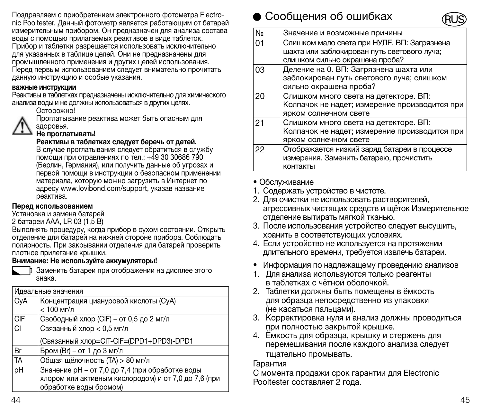Поздравляем с приобретением электронного фотометра Electronic Pooltester. Данный фотометр является работающим от батарей измерительным прибором. Он предназначен для анализа состава воды с помощью прилагаемых реактивов в виде таблеток. Прибор и таблетки разрешается использовать исключительно для указанных в таблице целей. Они не предназначены для промышленного применения и других целей использования. Перед первым использованием следует внимательно прочитать данную инструкцию и особые указания.

#### важные инструкции

Реактивы в таблетках предназначены исключительно для химического анализа воды и не должны использоваться в других целях.

#### Осторожно!

Проглатывание реактива может быть опасным для здоровья.

#### Не проглатывать!

Реактивы в таблетках следует беречь от детей.

В случае проглатывания следует обратиться в службу помощи при отравлениях по тел.: +49 30 30686 790 (Берлин, Германия), или получить данные об угрозах и первой помощи в инструкции о безопасном применении материала, которую можно загрузить в Интернет по адресу www.lovibond.com/support, указав название реактива.

#### Перед использованием

Установка и замена батарей

2 батареи AAA, LR 03 (1,5 В)

Выполнять процедуру, когда прибор в сухом состоянии. Открыть отделение для батарей на нижней стороне прибора. Соблюдать полярность. При закрывании отделения для батарей проверить плотное прилегание крышки.

#### Внимание: Не используйте аккумуляторы!



Заменить батареи при отображении на дисплее этого знака.

|            | Идеальные значения                                                                                                                |
|------------|-----------------------------------------------------------------------------------------------------------------------------------|
| CyA        | Концентрация циануровой кислоты (СуА)<br>$< 100$ Mr/n                                                                             |
| <b>CIF</b> | Свободный хлор (CIF) - от 0,5 до 2 мг/л                                                                                           |
| CI         | Связанный хлор < 0.5 мг/л<br>(Связанный хлор=CIT-CIF=(DPD1+DPD3)-DPD1                                                             |
| Br         | Бром (Br) - от 1 до 3 мг/л                                                                                                        |
| TA         | Общая щёлочность (TA) > 80 мг/л                                                                                                   |
| pH         | Значение рН - от 7,0 до 7,4 (при обработке воды<br>хлором или активным кислородом) и от 7,0 до 7,6 (при<br>обработке воды бромом) |

### сообщения об ошибках



| No | Значение и возможные причины                                                                                                 |
|----|------------------------------------------------------------------------------------------------------------------------------|
| 01 | Слишком мало света при НУЛЕ. ВП: Загрязнена<br>шахта или заблокирован путь светового луча:<br>слишком сильно окрашена проба? |
| 03 | Деление на 0. ВП: Загрязнена шахта или<br>заблокирован путь светового луча; слишком<br>сильно окрашена проба?                |
| 20 | Слишком много света на детекторе. ВП:<br>Колпачок не надет; измерение производится при<br>ярком солнечном свете              |
| 21 | Слишком много света на детекторе. ВП:<br>Колпачок не надет; измерение производится при<br>ярком солнечном свете              |
| 22 | Отображается низкий заряд батареи в процессе<br>измерения. Заменить батарею, прочистить<br>контакты                          |

#### • Обслуживание

- 1. Содержать устройство в чистоте.
- 2. Для очистки не использовать растворителей, агрессивных чистящих средств и щёток Измерительное отделение вытирать мягкой тканью.
- 3. После использования устройство следует высушить, хранить в соответствующих условиях.
- 4. Если устройство не используется на протяжении длительного времени, требуется извлечь батареи.
- Информация по надлежащему проведению анализов
- 1. Для анализа используются только реагенты в таблетках с чётной оболочкой.
- 2. Таблетки должны быть помещены в ёмкость для образца непосредственно из упаковки (не касаться пальцами).
- 3. Корректировка нуля и анализ должны проводиться при полностью закрытой крышке.
- 4. Ёмкость для образца, крышку и стержень для перемешивания после каждого анализа следует тщательно промывать.

#### Гарантия

С момента продажи срок гарантии для Electronic Pooltester составляет 2 года.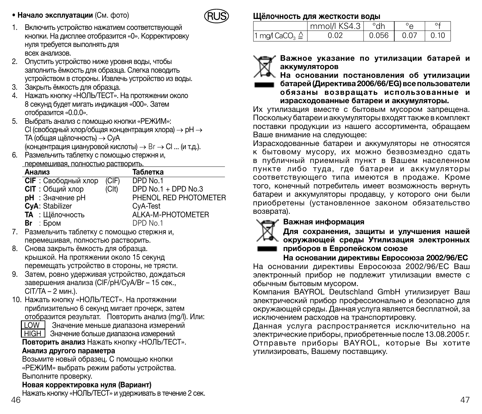

- 1. Bключить устройство нажатием соответствующей кнопки. На дисплее отобразится «0». Корректировку нуля требуется выполнять для всех анализов.
- 2. Oпустить устройство ниже уровня воды, чтобы заполнить ёмкость для образца. Слегка поводить устройством в стороны. Извлечь устройство из воды.
- 3. Закрыть ёмкость для образца.
- 4. Нажать кнопку «НОЛЬ/ТЕСТ». На протяжении около 8 секунд будет мигать индикация «000». Затем отобразится «0.0.0».
- 5. Выбрать анализ с помощью кнопки «РЕЖИМ»: Cl (свободный хлор/общая концентрация хлора) → pH → TA (общая щёлочность) → CyA (концентрация циануровой кислоты) → Br → Cl ... (и т.д.).
- 6. Размельчить таблетку с помощью стержня и, перемешивая, полностью растворить.

| <b>TRAPPERSON BASED TRAFFIC DRAFFIC AND LODGED TRAFFIC CONTROLLER</b> |                   |                       |
|-----------------------------------------------------------------------|-------------------|-----------------------|
| Анализ                                                                |                   | Таблетка              |
| <b>CIF</b> : Свободный хлор                                           | (CIF)             | DPD No.1              |
| <b>CIT</b> : Общий хлор                                               | (C <sub>l</sub> ) | DPD No.1 + DPD No.3   |
| <b>pH</b> : Значение pH                                               |                   | PHENOL RED PHOTOMETER |
| CvA: Stabilizer                                                       |                   | CvA-Test              |
| ТА: Щёлочность                                                        |                   | ALKA-M-PHOTOMETER     |
| Br : Бром                                                             |                   | DPD No.1              |
|                                                                       |                   |                       |

- 7. Размельчить таблетку с помощью стержня и, перемешивая, полностью растворить.
- 8. Снова закрыть ёмкость для образца. крышкой. На протяжении около 15 секунд перемещать устройство в стороны, не трясти.
- 9. Затем, ровно удерживая устройство, дождаться завершения анализа (ClF/pH/CyA/Br – 15 сек., ClT/TA – 2 мин.).
- 10. Нажать кнопку «НОЛЬ/ТЕСТ». На протяжении приблизительно 6 секунд мигает прочерк, затем отобразится результат. Повторить анализ (mg/l). или:

LOW Значение меньше диапазона измерений

**HIGH** 3начение больше диапазона измерений

Повторить анализ Нажать кнопку «НОЛЬ/ТЕСТ».

### Анализ другого параметра

Возьмите новый образец. С помощью кнопки «РЕЖИМ» выбрать режим работы устройства. Выполните проверку.

### Новая корректировка нуля (Вариант)

 $46$  47 Нажать кнопку «НОЛЬ/ТЕСТ» и удерживать в течение 2 сек.

#### Щёлочность для жесткости воды

|                           | mmol/l KS4.3 | $^{\circ}$ dh |      |      |
|---------------------------|--------------|---------------|------|------|
| 1 ma/l CaCO, $\triangleq$ | 0.02         | 0.056         | 0.07 | 0.10 |



Важное указание по утилизации батарей и аккумуляторов

На основании постановления об утилизации батарей (Директива 2006/66/EG) все пользователи обязаны возвращать использованные и

израсходованные батареи и аккумуляторы.

Их утилизация вместе с бытовым мусором запрещена. Поскольку батареи и аккумуляторы входят также в комплект поставки продукции из нашего ассортимента, обращаем Ваше внимание на следующее:

Израсходованные батареи и аккумуляторы не относятся к бытовому мусору, их можно безвозмездно сдать в публичный приемный пункт в Вашем населенном пункте либо туда, где батареи и аккумуляторы соответствующего типа имеются в продаже. Кроме того, конечный потребитель имеет возможность вернуть батареи и аккумуляторы продавцу, у которого они были приобретены (установленное законом обязательство возврата).

### Важная информация



Для сохранения, защиты и улучшения нашей окружающей среды Утилизация электронных приборов в Европейском союзе

На основании директивы Евросоюза 2002/96/EC На основании директивы Евросоюза 2002/96/EC Ваш электронный прибор не подлежит утилизации вместе с обычным бытовым мусором.

Компания BAYROL Deutschland GmbH утилизирует Ваш электрический прибор профессионально и безопасно для окружающей среды. Данная услуга является бесплатной, за исключением расходов на транспортировку.

Данная услуга распространяется исключительно на электрические приборы, приобретенные после 13.08.2005 г. Отправьте приборы BAYROL, которые Вы хотите утилизировать, Вашему поставщику.